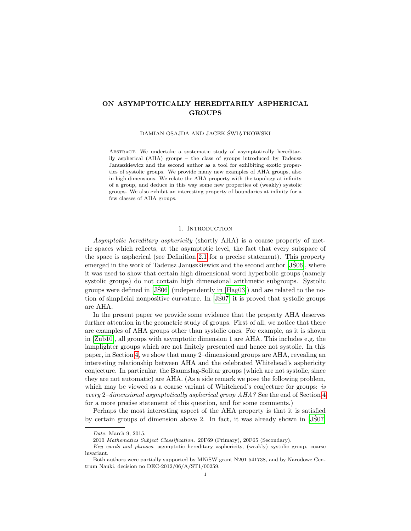# ON ASYMPTOTICALLY HEREDITARILY ASPHERICAL GROUPS

DAMIAN OSAJDA AND JACEK ŚWIĄTKOWSKI

ABSTRACT. We undertake a systematic study of asymptotically hereditarily aspherical (AHA) groups – the class of groups introduced by Tadeusz Januszkiewicz and the second author as a tool for exhibiting exotic properties of systolic groups. We provide many new examples of AHA groups, also in high dimensions. We relate the AHA property with the topology at infinity of a group, and deduce in this way some new properties of (weakly) systolic groups. We also exhibit an interesting property of boundaries at infinity for a few classes of AHA groups.

### 1. INTRODUCTION

Asymptotic hereditary asphericity (shortly AHA) is a coarse property of metric spaces which reflects, at the asymptotic level, the fact that every subspace of the space is aspherical (see Definition [2.1](#page-4-0) for a precise statement). This property emerged in the work of Tadeusz Januszkiewicz and the second author [\[JS06\]](#page-34-0), where ´ it was used to show that certain high dimensional word hyperbolic groups (namely systolic groups) do not contain high dimensional arithmetic subgroups. Systolic groups were defined in  $[JS06]$  (independently in  $[Hag03]$ ) and are related to the notion of simplicial nonpositive curvature. In  $J\acute{S}07$  it is proved that systolic groups are AHA.

In the present paper we provide some evidence that the property AHA deserves further attention in the geometric study of groups. First of all, we notice that there are examples of AHA groups other than systolic ones. For example, as it is shown in [\[Zub10\]](#page-35-0), all groups with asymptotic dimension 1 are AHA. This includes e.g. the lamplighter groups which are not finitely presented and hence not systolic. In this paper, in Section [4,](#page-13-0) we show that many 2–dimensional groups are AHA, revealing an interesting relationship between AHA and the celebrated Whitehead's asphericity conjecture. In particular, the Baumslag-Solitar groups (which are not systolic, since they are not automatic) are AHA. (As a side remark we pose the following problem, which may be viewed as a coarse variant of Whitehead's conjecture for groups: is every 2–dimensional asymptotically aspherical group AHA? See the end of Section [4](#page-13-0) for a more precise statement of this question, and for some comments.)

Perhaps the most interesting aspect of the AHA property is that it is satisfied by certain groups of dimension above 2. In fact, it was already shown in [\[JS07\]](#page-34-2) ´

Date: March 9, 2015.

<sup>2010</sup> Mathematics Subject Classification. 20F69 (Primary), 20F65 (Secondary).

Key words and phrases. asymptotic hereditary asphericity, (weakly) systolic group, coarse invariant.

Both authors were partially supported by MNiSW grant N201 541738, and by Narodowe Centrum Nauki, decision no DEC-2012/06/A/ST1/00259.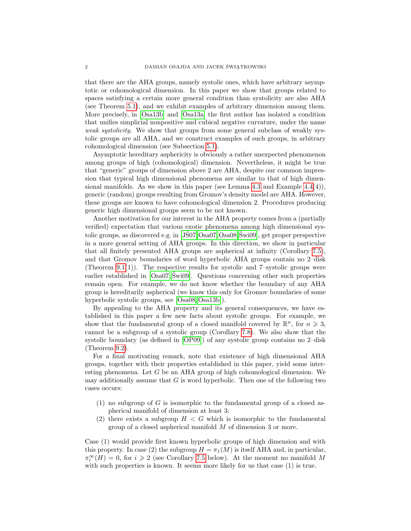that there are the AHA groups, namely systolic ones, which have arbitrary asymptotic or cohomological dimension. In this paper we show that groups related to spaces satisfying a certain more general condition than systolicity are also AHA (see Theorem [5.1\)](#page-16-0), and we exhibit examples of arbitrary dimension among them. More precisely, in [\[Osa13b\]](#page-35-1) and [\[Osa13a\]](#page-35-2) the first author has isolated a condition that unifies simplicial nonpositive and cubical negative curvature, under the name weak systolicity. We show that groups from some general subclass of weakly systolic groups are all AHA, and we construct examples of such groups, in arbitrary cohomological dimension (see Subsection [5.1\)](#page-17-0).

Asymptotic hereditary asphericity is obviously a rather unexpected phenomenon among groups of high (cohomological) dimension. Nevertheless, it might be true that "generic" groups of dimension above 2 are AHA, despite our common impression that typical high dimensional phenomena are similar to that of high dimen-sional manifolds. As we show in this paper (see Lemma [4.3](#page-13-1) and Example  $4.4(4)$ ), generic (random) groups resulting from Gromov's density model are AHA. However, these groups are known to have cohomological dimension 2. Procedures producing generic high dimensional groups seem to be not known.

Another motivation for our interest in the AHA property comes from a (partially verified) expectation that various exotic phenomena among high dimensional systolic groups, as discovered e.g. in  $(J\dot{S}07,Osa07,Osa08, \dot{S}wi09]$  $(J\dot{S}07,Osa07,Osa08, \dot{S}wi09]$  $(J\dot{S}07,Osa07,Osa08, \dot{S}wi09]$  $(J\dot{S}07,Osa07,Osa08, \dot{S}wi09]$ , get proper perspective in a more general setting of AHA groups. In this direction, we show in particular that all finitely presented AHA groups are aspherical at infinity (Corollary [7.5\)](#page-20-0), and that Gromov boundaries of word hyperbolic AHA groups contain no 2–disk (Theorem [9.1\(](#page-24-0)1)). The respective results for systolic and 7–systolic groups were earlier established in [\[Osa07,](#page-34-3) Świ09]. Questions concerning other such properties remain open. For example, we do not know whether the boundary of any AHA group is hereditarily aspherical (we know this only for Gromov boundaries of some hyperbolic systolic groups, see [\[Osa08,](#page-34-4) [Osa13b\]](#page-35-1)).

By appealing to the AHA property and its general consequences, we have established in this paper a few new facts about systolic groups. For example, we show that the fundamental group of a closed manifold covered by  $\mathbb{R}^n$ , for  $n \geq 3$ , cannot be a subgroup of a systolic group (Corollary [7.8\)](#page-21-0). We also show that the systolic boundary (as defined in [\[OP09\]](#page-35-4)) of any systolic group contains no 2–disk (Theorem [9.2\)](#page-25-0).

For a final motivating remark, note that existence of high dimensional AHA groups, together with their properties established in this paper, yield some interesting phenomena. Let G be an AHA group of high cohomological dimension. We may additionally assume that  $G$  is word hyperbolic. Then one of the following two cases occurs:

- (1) no subgroup of G is isomorphic to the fundamental group of a closed aspherical manifold of dimension at least 3;
- (2) there exists a subgroup  $H < G$  which is isomorphic to the fundamental group of a closed aspherical manifold M of dimension 3 or more.

Case (1) would provide first known hyperbolic groups of high dimension and with this property. In case (2) the subgroup  $H = \pi_1(M)$  is itself AHA and, in particular,  $\pi_i^{\infty}(H) = 0$ , for  $i \geqslant 2$  (see Corollary [7.5](#page-20-0) below). At the moment no manifold M with such properties is known. It seems more likely for us that case (1) is true.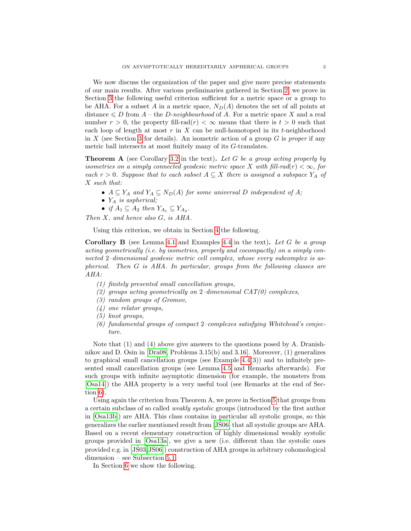We now discuss the organization of the paper and give more precise statements of our main results. After various preliminaries gathered in Section [2,](#page-4-1) we prove in Section [3](#page-11-0) the following useful criterion sufficient for a metric space or a group to be AHA. For a subset A in a metric space,  $N_D(A)$  denotes the set of all points at distance  $\leq D$  from A – the D-neighbourhood of A. For a metric space X and a real number  $r > 0$ , the property fill-rad $(r) < \infty$  means that there is  $t > 0$  such that each loop of length at most r in X can be null-homotoped in its t-neighborhood in X (see Section [3](#page-11-0) for details). An isometric action of a group  $G$  is proper if any metric ball intersects at most finitely many of its G-translates.

**Theorem A** (see Corollary [3.2](#page-12-0) in the text). Let G be a group acting properly by isometries on a simply connected geodesic metric space X with fill-rad(r)  $< \infty$ , for each  $r > 0$ . Suppose that to each subset  $A \subseteq X$  there is assigned a subspace  $Y_A$  of X such that:

- $A \subseteq Y_A$  and  $Y_A \subseteq N_D(A)$  for some universal D independent of A;
- $Y_A$  is aspherical;
- if  $A_1 \subseteq A_2$  then  $Y_{A_1} \subseteq Y_{A_2}$ .

Then  $X$ , and hence also  $G$ , is  $AHA$ .

Using this criterion, we obtain in Section [4](#page-13-0) the following.

**Corollary B** (see Lemma [4.1](#page-13-2) and Examples [4.4](#page-14-0) in the text). Let G be a group acting geometrically (i.e. by isometries, properly and cocompactly) on a simply connected 2–dimensional geodesic metric cell complex, whose every subcomplex is aspherical. Then G is AHA. In particular, groups from the following classes are AHA:

- (1) finitely presented small cancellation groups,
- (2) groups acting geometrically on 2-dimensional  $CAT(0)$  complexes,
- (3) random groups of Gromov,
- (4) one relator groups,
- (5) knot groups,
- (6) fundamental groups of compact 2–complexes satisfying Whitehead's conjecture.

Note that (1) and (4) above give answers to the questions posed by A. Dranishnikov and D. Osin in [\[Dra08,](#page-34-5) Problems 3.15(b) and 3.16]. Moreover, (1) generalizes to graphical small cancellation groups (see Example [4.4\(](#page-14-0)3)) and to infinitely presented small cancellation groups (see Lemma [4.5](#page-14-1) and Remarks afterwards). For such groups with infinite asymptotic dimension (for example, the monsters from [\[Osa14\]](#page-35-5)) the AHA property is a very useful tool (see Remarks at the end of Section [6\)](#page-18-0).

Using again the criterion from Theorem A, we prove in Section [5](#page-16-1) that groups from a certain subclass of so called weakly systolic groups (introduced by the first author in [\[Osa13b\]](#page-35-1)) are AHA. This class contains in particular all systolic groups, so this generalizes the earlier mentioned result from [\[JS06\]](#page-34-0) that all systolic groups are AHA. ´ Based on a recent elementary construction of highly dimensional weakly systolic groups provided in [\[Osa13a\]](#page-35-2), we give a new (i.e. different than the systolic ones provided e.g. in  $[J\dot{S}03, J\dot{S}06]$  construction of AHA groups in arbitrary cohomological dimension – see Subsection [5.1.](#page-17-0)

In Section [6](#page-18-0) we show the following.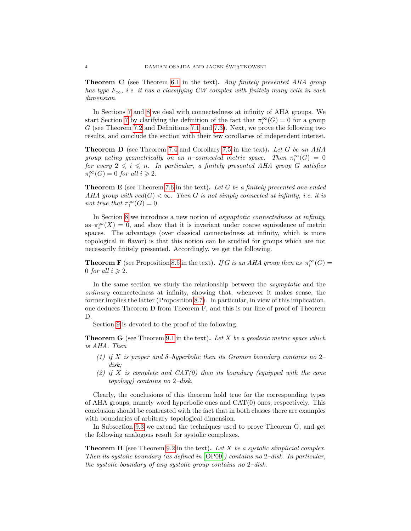**Theorem C** (see Theorem [6.1](#page-18-1) in the text). Any finitely presented AHA group has type  $F_{\infty}$ , i.e. it has a classifying CW complex with finitely many cells in each dimension.

In Sections [7](#page-18-2) and [8](#page-21-1) we deal with connectedness at infinity of AHA groups. We start Section [7](#page-18-2) by clarifying the definition of the fact that  $\pi_i^{\infty}(G) = 0$  for a group G (see Theorem [7.2](#page-19-0) and Definitions [7.1](#page-19-1) and [7.3\)](#page-20-1). Next, we prove the following two results, and conclude the section with their few corollaries of independent interest.

**Theorem D** (see Theorem [7.4](#page-20-2) and Corollary [7.5](#page-20-0) in the text). Let G be an AHA group acting geometrically on an n–connected metric space. Then  $\pi_i^{\infty}(G) = 0$ for every  $2 \leq i \leq n$ . In particular, a finitely presented AHA group G satisfies  $\pi_i^{\infty}(G) = 0$  for all  $i \geq 2$ .

**Theorem E** (see Theorem [7.6](#page-20-3) in the text). Let G be a finitely presented one-ended AHA group with  $\text{vcd}(G) < \infty$ . Then G is not simply connected at infinity, i.e. it is not true that  $\pi_1^{\infty}(G) = 0$ .

In Section [8](#page-21-1) we introduce a new notion of asymptotic connectedness at infinity, as– $\pi_i^{\infty}(X) = 0$ , and show that it is invariant under coarse equivalence of metric spaces. The advantage (over classical connectedness at infinity, which is more topological in flavor) is that this notion can be studied for groups which are not necessarily finitely presented. Accordingly, we get the following.

**Theorem F** (see Proposition [8.5](#page-23-0) in the text). If G is an AHA group then as $-\pi_i^{\infty}(G)$  = 0 for all  $i \geqslant 2$ .

In the same section we study the relationship between the asymptotic and the ordinary connectedness at infinity, showing that, whenever it makes sense, the former implies the latter (Proposition [8.7\)](#page-24-1). In particular, in view of this implication, one deduces Theorem D from Theorem F, and this is our line of proof of Theorem D.

Section [9](#page-24-2) is devoted to the proof of the following.

**Theorem G** (see Theorem [9.1](#page-24-0) in the text). Let X be a geodesic metric space which is AHA. Then

- (1) if X is proper and  $\delta$ -hyperbolic then its Gromov boundary contains no 2disk;
- (2) if X is complete and  $CAT(0)$  then its boundary (equipped with the cone topology) contains no 2–disk.

Clearly, the conclusions of this theorem hold true for the corresponding types of AHA groups, namely word hyperbolic ones and CAT(0) ones, respectively. This conclusion should be contrasted with the fact that in both classes there are examples with boundaries of arbitrary topological dimension.

In Subsection [9.3](#page-31-0) we extend the techniques used to prove Theorem G, and get the following analogous result for systolic complexes.

**Theorem H** (see Theorem [9.2](#page-25-0) in the text). Let X be a systolic simplicial complex. Then its systolic boundary (as defined in [\[OP09\]](#page-35-4)) contains no 2–disk. In particular, the systolic boundary of any systolic group contains no 2–disk.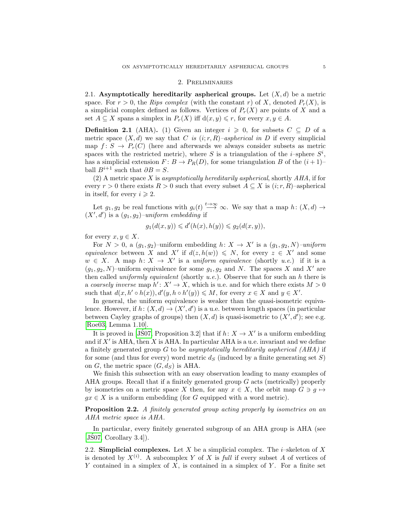#### 2. Preliminaries

<span id="page-4-1"></span>2.1. Asymptotically hereditarily aspherical groups. Let  $(X, d)$  be a metric space. For  $r > 0$ , the Rips complex (with the constant r) of X, denoted  $P_r(X)$ , is a simplicial complex defined as follows. Vertices of  $P_r(X)$  are points of X and a set  $A \subseteq X$  spans a simplex in  $P_r(X)$  iff  $d(x, y) \leq r$ , for every  $x, y \in A$ .

<span id="page-4-0"></span>**Definition 2.1** (AHA). (1) Given an integer  $i \geq 0$ , for subsets  $C \subseteq D$  of a metric space  $(X, d)$  we say that C is  $(i; r, R)$ –aspherical in D if every simplicial map  $f: S \to P_r(C)$  (here and afterwards we always consider subsets as metric spaces with the restricted metric), where S is a triangulation of the *i*-sphere  $S<sup>i</sup>$ , has a simplicial extension  $F: B \to P_R(D)$ , for some triangulation B of the  $(i+1)$ – ball  $B^{i+1}$  such that  $\partial B = S$ .

(2) A metric space  $X$  is asymptotically hereditarily aspherical, shortly  $AHA$ , if for every  $r > 0$  there exists  $R > 0$  such that every subset  $A \subseteq X$  is  $(i; r, R)$ –aspherical in itself, for every  $i \geq 2$ .

Let  $g_1, g_2$  be real functions with  $g_i(t) \stackrel{t\to\infty}{\longrightarrow} \infty$ . We say that a map  $h: (X,d) \to$  $(X', d')$  is a  $(g_1, g_2)$ -uniform embedding if

$$
g_1(d(x,y)) \leq d'(h(x),h(y)) \leq g_2(d(x,y)),
$$

for every  $x, y \in X$ .

For  $N > 0$ , a  $(g_1, g_2)$ -uniform embedding  $h: X \to X'$  is a  $(g_1, g_2, N)$ -uniform equivalence between X and X' if  $d(z, h(w)) \leq N$ , for every  $z \in X'$  and some  $w \in X$ . A map  $h: X \to X'$  is a uniform equivalence (shortly u.e.) if it is a  $(g_1, g_2, N)$ –uniform equivalence for some  $g_1, g_2$  and N. The spaces X and X' are then called *uniformly equivalent* (shortly  $u.e.$ ). Observe that for such an  $h$  there is a coarsely inverse map  $h' : X' \to X$ , which is u.e. and for which there exists  $M > 0$ such that  $d(x, h' \circ h(x)), d'(y, h \circ h'(y)) \leq M$ , for every  $x \in X$  and  $y \in X'$ .

In general, the uniform equivalence is weaker than the quasi-isometric equivalence. However, if  $h: (X, d) \to (X', d')$  is a u.e. between length spaces (in particular between Cayley graphs of groups) then  $(X, d)$  is quasi-isometric to  $(X', d')$ ; see e.g. [\[Roe03,](#page-35-6) Lemma 1.10].

It is proved in [\[JS07,](#page-34-2) Proposition 3.2] that if  $h: X \to X'$  is a uniform embedding and if  $X'$  is AHA, then X is AHA. In particular AHA is a u.e. invariant and we define a finitely generated group  $G$  to be asymptotically hereditarily aspherical  $(AHA)$  if for some (and thus for every) word metric  $d<sub>S</sub>$  (induced by a finite generating set S) on G, the metric space  $(G, d_S)$  is AHA.

We finish this subsection with an easy observation leading to many examples of AHA groups. Recall that if a finitely generated group G acts (metrically) properly by isometries on a metric space X then, for any  $x \in X$ , the orbit map  $G \ni g \mapsto$  $gx \in X$  is a uniform embedding (for G equipped with a word metric).

<span id="page-4-2"></span>Proposition 2.2. A finitely generated group acting properly by isometries on an AHA metric space is AHA.

In particular, every finitely generated subgroup of an AHA group is AHA (see  $[JS07, Corollary 3.4]$  $[JS07, Corollary 3.4]$ .

2.2. Simplicial complexes. Let X be a simplicial complex. The *i*–skeleton of X is denoted by  $X^{(i)}$ . A subcomplex Y of X is full if every subset A of vertices of Y contained in a simplex of  $X$ , is contained in a simplex of  $Y$ . For a finite set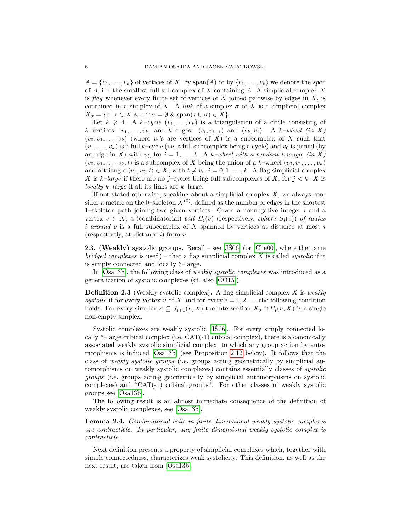$A = \{v_1, \ldots, v_k\}$  of vertices of X, by span(A) or by  $\langle v_1, \ldots, v_k \rangle$  we denote the span of  $A$ , i.e. the smallest full subcomplex of  $X$  containing  $A$ . A simplicial complex  $X$ is flag whenever every finite set of vertices of  $X$  joined pairwise by edges in  $X$ , is contained in a simplex of X. A link of a simplex  $\sigma$  of X is a simplicial complex  $X_{\sigma} = {\tau | \tau \in X \& \tau \cap \sigma = \emptyset \& \text{span}(\tau \cup \sigma) \in X}.$ 

Let  $k \geq 4$ . A  $k-cycle (v_1, \ldots, v_k)$  is a triangulation of a circle consisting of k vertices:  $v_1, \ldots, v_k$ , and k edges:  $\langle v_i, v_{i+1} \rangle$  and  $\langle v_k, v_1 \rangle$ . A k-wheel (in X)  $(v_0; v_1, \ldots, v_k)$  (where  $v_i$ 's are vertices of X) is a subcomplex of X such that  $(v_1, \ldots, v_k)$  is a full k–cycle (i.e. a full subcomplex being a cycle) and  $v_0$  is joined (by an edge in X) with  $v_i$ , for  $i = 1, ..., k$ . A k-wheel with a pendant triangle (in X)  $(v_0; v_1, \ldots, v_k; t)$  is a subcomplex of X being the union of a k–wheel  $(v_0; v_1, \ldots, v_k)$ and a triangle  $\langle v_1, v_2, t \rangle \in X$ , with  $t \neq v_i$ ,  $i = 0, 1, \ldots, k$ . A flag simplicial complex X is k–large if there are no j–cycles being full subcomplexes of X, for  $j < k$ . X is locally  $k$ -large if all its links are  $k$ -large.

If not stated otherwise, speaking about a simplicial complex  $X$ , we always consider a metric on the 0–skeleton  $X^{(0)}$ , defined as the number of edges in the shortest 1–skeleton path joining two given vertices. Given a nonnegative integer  $i$  and a vertex  $v \in X$ , a (combinatorial) ball  $B_i(v)$  (respectively, sphere  $S_i(v)$ ) of radius i around v is a full subcomplex of X spanned by vertices at distance at most i (respectively, at distance  $i$ ) from  $v$ .

2.3. (Weakly) systolic groups. Recall – see [\[JS06\]](#page-34-0) (or [\[Che00\]](#page-34-7), where the name bridged complexes is used) – that a flag simplicial complex X is called systolic if it is simply connected and locally 6–large.

In [\[Osa13b\]](#page-35-1), the following class of *weakly systolic complexes* was introduced as a generalization of systolic complexes (cf. also [\[CO15\]](#page-34-8)).

<span id="page-5-0"></span>**Definition 2.3** (Weakly systolic complex). A flag simplicial complex  $X$  is weakly systolic if for every vertex v of X and for every  $i = 1, 2, \ldots$  the following condition holds. For every simplex  $\sigma \subseteq S_{i+1}(v, X)$  the intersection  $X_{\sigma} \cap B_i(v, X)$  is a single non-empty simplex.

Systolic complexes are weakly systolic [\[JS06\]](#page-34-0). For every simply connected locally 5–large cubical complex (i.e.  $CAT(-1)$  cubical complex), there is a canonically associated weakly systolic simplicial complex, to which any group action by automorphisms is induced [\[Osa13b\]](#page-35-1) (see Proposition [2.12](#page-8-0) below). It follows that the class of weakly systolic groups (i.e. groups acting geometrically by simplicial automorphisms on weakly systolic complexes) contains essentially classes of systolic groups (i.e. groups acting geometrically by simplicial automorphisms on systolic complexes) and "CAT(-1) cubical groups". For other classes of weakly systolic groups see [\[Osa13b\]](#page-35-1).

The following result is an almost immediate consequence of the definition of weakly systolic complexes, see [\[Osa13b\]](#page-35-1).

<span id="page-5-1"></span>Lemma 2.4. Combinatorial balls in finite dimensional weakly systolic complexes are contractible. In particular, any finite dimensional weakly systolic complex is contractible.

Next definition presents a property of simplicial complexes which, together with simple connectedness, characterizes weak systolicity. This definition, as well as the next result, are taken from [\[Osa13b\]](#page-35-1).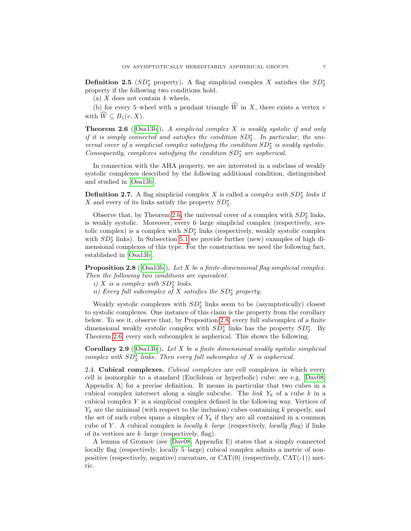<span id="page-6-2"></span>**Definition 2.5** ( $SD_2^*$  property). A flag simplicial complex X satisfies the  $SD_2^*$ property if the following two conditions hold.

(a)  $X$  does not contain 4–wheels,

(b) for every 5–wheel with a pendant triangle  $\widehat{W}$  in X, there exists a vertex v with  $\widehat{W} \subseteq B_1(v, X)$ .

<span id="page-6-0"></span>**Theorem 2.6** ([\[Osa13b\]](#page-35-1)). A simplicial complex X is weakly systolic if and only if it is simply connected and satisfies the condition  $SD_2^*$ . In particular, the universal cover of a simplicial complex satisfying the condition  $SD_2^*$  is weakly systolic.  $Consequently, \ complexes\ satisfying\ the\ condition\ SD^\ast_2\ are\ aspherical.$ 

In connection with the AHA property, we are interested in a subclass of weakly systolic complexes described by the following additional condition, distinguished and studied in [\[Osa13b\]](#page-35-1).

**Definition 2.7.** A flag simplicial complex X is called a *complex with*  $SD_2^*$  links if X and every of its links satisfy the property  $SD_2^*$ .

Observe that, by Theorem [2.6,](#page-6-0) the universal cover of a complex with  $SD_2^*$  links, is weakly systolic. Moreover, every 6–large simplicial complex (respectively, systolic complex) is a complex with  $SD_2^*$  links (respectively, weakly systolic complex with  $SD_2^*$  links). In Subsection [5.1](#page-17-0) we provide further (new) examples of high dimensional complexes of this type. For the construction we need the following fact, established in [\[Osa13b\]](#page-35-1).

<span id="page-6-1"></span>**Proposition 2.8** ([\[Osa13b\]](#page-35-1)). Let X be a finite-dimensional flag simplicial complex. Then the following two conditions are equivalent.

- i)  $X$  is a complex with  $SD_2^*$  links.
- ii) Every full subcomplex of  $X$  satisfies the  $SD_2^*$  property.

Weakly systolic complexes with  $SD_2^*$  links seem to be (asymptotically) closest to systolic complexes. One instance of this claim is the property from the corollary below. To see it, observe that, by Proposition [2.8,](#page-6-1) every full subcomplex of a finite dimensional weakly systolic complex with  $SD_2^*$  links has the property  $SD_2^*$ . By Theorem [2.6,](#page-6-0) every such subcomplex is aspherical. This shows the following.

<span id="page-6-3"></span>**Corollary 2.9** ([\[Osa13b\]](#page-35-1)). Let X be a finite dimensional weakly systolic simplicial complex with  $SD_2^*$  links. Then every full subcomplex of X is aspherical.

2.4. Cubical complexes. Cubical complexes are cell complexes in which every cell is isomorphic to a standard (Euclidean or hyperbolic) cube; see e.g. [\[Dav08,](#page-34-9) Appendix A] for a precise definition. It means in particular that two cubes in a cubical complex intersect along a single subcube. The *link*  $Y_k$  of a cube k in a cubical complex  $Y$  is a simplicial complex defined in the following way. Vertices of  $Y_k$  are the minimal (with respect to the inclusion) cubes containing k properly, and the set of such cubes spans a simplex of  $Y_k$  if they are all contained in a common cube of Y. A cubical complex is *locally k–large* (respectively, *locally flag*) if links of its vertices are  $k$ -large (respectively, flag).

A lemma of Gromov (see [\[Dav08,](#page-34-9) Appendix I]) states that a simply connected locally flag (respectively, locally 5–large) cubical complex admits a metric of nonpositive (respectively, negative) curvature, or  $CAT(0)$  (respectively,  $CAT(-1)$ ) metric.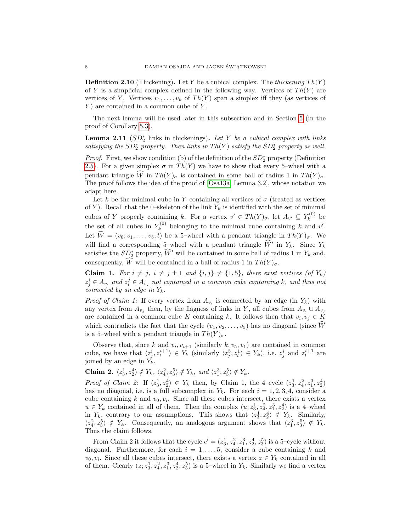<span id="page-7-1"></span>**Definition 2.10** (Thickening). Let Y be a cubical complex. The thickening  $Th(Y)$ of Y is a simplicial complex defined in the following way. Vertices of  $Th(Y)$  are vertices of Y. Vertices  $v_1, \ldots, v_k$  of  $Th(Y)$  span a simplex iff they (as vertices of  $Y$ ) are contained in a common cube of  $Y$ .

The next lemma will be used later in this subsection and in Section [5](#page-16-1) (in the proof of Corollary [5.3\)](#page-17-1).

<span id="page-7-0"></span>**Lemma 2.11**  $(SD_2^*$  links in thickenings). Let Y be a cubical complex with links satisfying the  $SD_2^*$  property. Then links in  $Th(Y)$  satisfy the  $SD_2^*$  property as well.

*Proof.* First, we show condition (b) of the definition of the  $SD_2^*$  property (Definition [2.5\)](#page-6-2). For a given simplex  $\sigma$  in  $Th(Y)$  we have to show that every 5–wheel with a pendant triangle  $\widehat{W}$  in  $Th(Y)_{\sigma}$  is contained in some ball of radius 1 in  $Th(Y)_{\sigma}$ . The proof follows the idea of the proof of [\[Osa13a,](#page-35-2) Lemma 3.2], whose notation we adapt here.

Let k be the minimal cube in Y containing all vertices of  $\sigma$  (treated as vertices of Y). Recall that the 0–skeleton of the link  $Y_k$  is identified with the set of minimal cubes of Y properly containing k. For a vertex  $v' \in Th(Y)_{\sigma}$ , let  $A_{v'} \subseteq Y_k^{(0)}$  $\tilde{k}^{(0)}$  be the set of all cubes in  $Y_k^{(0)}$  $k_k^{(0)}$  belonging to the minimal cube containing k and v'. Let  $\widehat{W}=(v_0; v_1,\ldots,v_5;t)$  be a 5-wheel with a pendant triangle in  $Th(Y)_{\sigma}$ . We will find a corresponding 5–wheel with a pendant triangle  $\widehat{W}'$  in  $Y_k$ . Since  $Y_k$ satisfies the  $SD_2^*$  property,  $\widehat{W}'$  will be contained in some ball of radius 1 in  $Y_k$  and, consequently,  $\widehat{W}$  will be contained in a ball of radius 1 in  $Th(Y)_{\sigma}$ .

**Claim 1.** For  $i \neq j$ ,  $i \neq j \pm 1$  and  $\{i, j\} \neq \{1, 5\}$ , there exist vertices (of  $Y_k$ )  $z_j^i \in A_{v_i}$  and  $z_i^j \in A_{v_j}$  not contained in a common cube containing k, and thus not connected by an edge in  $Y_k$ .

*Proof of Claim 1:* If every vertex from  $A_{v_i}$  is connected by an edge (in  $Y_k$ ) with any vertex from  $A_{v_j}$  then, by the flagness of links in Y, all cubes from  $A_{v_i} \cup A_{v_j}$ are contained in a common cube K containing k. It follows then that  $v_i, v_j \in K$ which contradicts the fact that the cycle  $(v_1, v_2, \ldots, v_5)$  has no diagonal (since  $\widehat{W}$ is a 5–wheel with a pendant triangle in  $Th(Y)_{\sigma}$ .

Observe that, since k and  $v_i, v_{i+1}$  (similarly  $k, v_5, v_1$ ) are contained in common cube, we have that  $\langle z_j^i, z_l^{i+1} \rangle \in Y_k$  (similarly  $\langle z_j^5, z_l^1 \rangle \in Y_k$ ), i.e.  $z_j^i$  and  $z_l^{i+1}$  are joined by an edge in  $Y_k$ .

Claim 2.  $\langle z_3^1, z_2^4 \rangle \notin Y_k$ ,  $\langle z_4^2, z_3^5 \rangle \notin Y_k$ , and  $\langle z_1^3, z_3^5 \rangle \notin Y_k$ .

*Proof of Claim 2:* If  $\langle z_3^1, z_2^4 \rangle \in Y_k$  then, by Claim 1, the 4-cycle  $(z_3^1, z_4^2, z_1^3, z_2^4)$ has no diagonal, i.e. is a full subcomplex in  $Y_k$ . For each  $i = 1, 2, 3, 4$ , consider a cube containing  $k$  and  $v_0, v_i$ . Since all these cubes intersect, there exists a vertex  $u \in Y_k$  contained in all of them. Then the complex  $(u; z_3^1, z_4^2, z_1^3, z_2^4)$  is a 4-wheel in  $Y_k$ , contrary to our assumptions. This shows that  $\langle z_3^1, z_2^4 \rangle \notin Y_k$ . Similarly,  $\langle z_4^2, z_3^5 \rangle \notin Y_k$ . Consequently, an analogous argument shows that  $\langle z_1^3, z_3^5 \rangle \notin Y_k$ . Thus the claim follows.

From Claim 2 it follows that the cycle  $c' = (z_3^1, z_4^2, z_1^3, z_2^4, z_3^5)$  is a 5-cycle without diagonal. Furthermore, for each  $i = 1, \ldots, 5$ , consider a cube containing k and  $v_0, v_i$ . Since all these cubes intersect, there exists a vertex  $z \in Y_k$  contained in all of them. Clearly  $(z; z_3^1, z_4^2, z_1^3, z_2^4, z_3^5)$  is a 5-wheel in  $Y_k$ . Similarly we find a vertex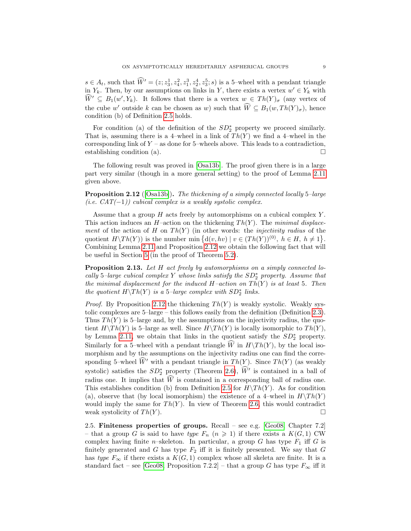$s \in A_t$ , such that  $\widehat{W}' = (z; z_3^1, z_4^2, z_1^3, z_2^4, z_3^5; s)$  is a 5-wheel with a pendant triangle in  $Y_k$ . Then, by our assumptions on links in Y, there exists a vertex  $w' \in Y_k$  with  $\widehat{W}' \subseteq B_1(w', Y_k)$ . It follows that there is a vertex  $w \in Th(Y)_{\sigma}$  (any vertex of the cube w' outside k can be chosen as w) such that  $\widehat{W} \subseteq B_1(w, Th(Y)_{\sigma})$ , hence condition (b) of Definition [2.5](#page-6-2) holds.

For condition (a) of the definition of the  $SD_2^*$  property we proceed similarly. That is, assuming there is a 4–wheel in a link of  $Th(Y)$  we find a 4–wheel in the corresponding link of  $Y$  – as done for 5–wheels above. This leads to a contradiction, establishing condition (a).  $\Box$ 

The following result was proved in [\[Osa13b\]](#page-35-1). The proof given there is in a large part very similar (though in a more general setting) to the proof of Lemma [2.11](#page-7-0) given above.

<span id="page-8-0"></span>**Proposition 2.12** ([\[Osa13b\]](#page-35-1)). The thickening of a simply connected locally 5-large (i.e.  $CAT(-1)$ ) cubical complex is a weakly systolic complex.

Assume that a group  $H$  acts freely by automorphisms on a cubical complex  $Y$ . This action induces an H–action on the thickening  $Th(Y)$ . The minimal displacement of the action of H on  $Th(Y)$  (in other words: the *injectivity radius* of the quotient  $H\backslash Th(Y)$  is the number min  $\{d(v, hv) \mid v \in (Th(Y))^{(0)}, h \in H, h \neq 1\}.$ Combining Lemma [2.11](#page-7-0) and Proposition [2.12](#page-8-0) we obtain the following fact that will be useful in Section [5](#page-16-1) (in the proof of Theorem [5.2\)](#page-17-2).

<span id="page-8-1"></span>Proposition 2.13. Let H act freely by automorphisms on a simply connected locally 5-large cubical complex Y whose links satisfy the  $SD_2^*$  property. Assume that the minimal displacement for the induced  $H$ -action on  $Th(Y)$  is at least 5. Then the quotient  $H\backslash Th(Y)$  is a 5-large complex with  $SD_2^*$  links.

*Proof.* By Proposition [2.12](#page-8-0) the thickening  $Th(Y)$  is weakly systolic. Weakly systolic complexes are 5–large – this follows easily from the definition (Definition [2.3\)](#page-5-0). Thus  $Th(Y)$  is 5-large and, by the assumptions on the injectivity radius, the quotient  $H\backslash Th(Y)$  is 5–large as well. Since  $H\backslash Th(Y)$  is locally isomorphic to  $Th(Y)$ , by Lemma [2.11,](#page-7-0) we obtain that links in the quotient satisfy the  $SD_2^*$  property. Similarly for a 5–wheel with a pendant triangle  $\widehat{W}$  in  $H\setminus Th(Y)$ , by the local isomorphism and by the assumptions on the injectivity radius one can find the corresponding 5–wheel  $\widehat{W}'$  with a pendant triangle in  $Th(Y)$ . Since  $Th(Y)$  (as weakly systolic) satisfies the  $SD_2^*$  property (Theorem [2.6\)](#page-6-0),  $\hat{W}'$  is contained in a ball of radius one. It implies that  $\widehat{W}$  is contained in a corresponding ball of radius one. This establishes condition (b) from Definition [2.5](#page-6-2) for  $H\setminus Th(Y)$ . As for condition (a), observe that (by local isomorphism) the existence of a 4–wheel in  $H\setminus Th(Y)$ would imply the same for  $Th(Y)$ . In view of Theorem [2.6,](#page-6-0) this would contradict weak systolicity of  $Th(Y)$ .

2.5. Finiteness properties of groups. Recall – see e.g. [\[Geo08,](#page-34-10) Chapter 7.2] – that a group G is said to have type  $F_n$   $(n \geq 1)$  if there exists a  $K(G, 1)$  CW complex having finite n–skeleton. In particular, a group  $G$  has type  $F_1$  iff  $G$  is finitely generated and G has type  $F_2$  iff it is finitely presented. We say that G has type  $F_{\infty}$  if there exists a  $K(G, 1)$  complex whose all skeleta are finite. It is a standard fact – see [\[Geo08,](#page-34-10) Proposition 7.2.2] – that a group G has type  $F_{\infty}$  iff it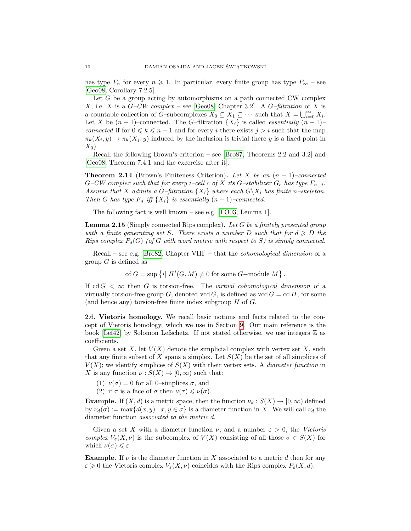has type  $F_n$  for every  $n \geq 1$ . In particular, every finite group has type  $F_{\infty}$  – see [\[Geo08,](#page-34-10) Corollary 7.2.5].

Let  $G$  be a group acting by automorphisms on a path connected CW complex X, i.e. X is a  $G-CW$  complex – see [\[Geo08,](#page-34-10) Chapter 3.2]. A  $G$ -filtration of X is a countable collection of G–subcomplexes  $X_0 \subseteq X_1 \subseteq \cdots$  such that  $X = \bigcup_{i=0}^{\infty} X_i$ . Let X be  $(n-1)$ –connected. The G–filtration  $\{X_i\}$  is called *essentially*  $(n-1)$ – connected if for  $0 \leq k \leq n-1$  and for every i there exists  $j > i$  such that the map  $\pi_k(X_i, y) \to \pi_k(X_j, y)$  induced by the inclusion is trivial (here y is a fixed point in  $X_0$ ).

Recall the following Brown's criterion – see [\[Bro87,](#page-34-11) Theorems 2.2 and 3.2] and [\[Geo08,](#page-34-10) Theorem 7.4.1 and the excercise after it].

<span id="page-9-1"></span>**Theorem 2.14** (Brown's Finiteness Criterion). Let X be an  $(n-1)$ –connected  $G-CW$  complex such that for every i–cell c of X its G–stabilizer  $G_c$  has type  $F_{n-i}$ . Assume that X admits a G–filtration  $\{X_i\}$  where each  $G\backslash X_i$  has finite n–skeleton. Then G has type  $F_n$  iff  $\{X_i\}$  is essentially  $(n-1)$ –connected.

The following fact is well known – see e.g. [\[FO03,](#page-34-12) Lemma 1].

<span id="page-9-0"></span>**Lemma 2.15** (Simply connected Rips complex). Let G be a finitely presented group with a finite generating set S. There exists a number D such that for  $d \geqslant D$  the Rips complex  $P_d(G)$  (of G with word metric with respect to S) is simply connected.

Recall – see e.g. [\[Bro82,](#page-34-13) Chapter VIII] – that the *cohomological dimension* of a group  $G$  is defined as

cd  $G = \sup \{i | H^i(G, M) \neq 0 \text{ for some } G\text{-module } M \}.$ 

If cd  $G < \infty$  then G is torsion-free. The *virtual cohomological dimension* of a virtually torsion-free group G, denoted vcd G, is defined as  $\text{vcd } G = \text{cd } H$ , for some (and hence any) torsion-free finite index subgroup  $H$  of  $G$ .

<span id="page-9-2"></span>2.6. Vietoris homology. We recall basic notions and facts related to the concept of Vietoris homology, which we use in Section [9.](#page-24-2) Our main reference is the book [\[Lef42\]](#page-34-14) by Solomon Lefschetz. If not stated otherwise, we use integers  $\mathbb Z$  as coefficients.

Given a set X, let  $V(X)$  denote the simplicial complex with vertex set X, such that any finite subset of X spans a simplex. Let  $S(X)$  be the set of all simplices of  $V(X)$ ; we identify simplices of  $S(X)$  with their vertex sets. A *diameter function* in X is any function  $\nu : S(X) \to [0, \infty)$  such that:

- (1)  $\nu(\sigma) = 0$  for all 0-simplices  $\sigma$ , and
- (2) if  $\tau$  is a face of  $\sigma$  then  $\nu(\tau) \leqslant \nu(\sigma)$ .

**Example.** If  $(X, d)$  is a metric space, then the function  $\nu_d : S(X) \to [0, \infty)$  defined by  $\nu_d(\sigma) := \max\{d(x, y) : x, y \in \sigma\}$  is a diameter function in X. We will call  $\nu_d$  the diameter function associated to the metric d.

Given a set X with a diameter function  $\nu$ , and a number  $\varepsilon > 0$ , the Vietoris complex  $V_{\varepsilon}(X,\nu)$  is the subcomplex of  $V(X)$  consisting of all those  $\sigma \in S(X)$  for which  $\nu(\sigma) \leq \varepsilon$ .

**Example.** If  $\nu$  is the diameter function in X associated to a metric d then for any  $\varepsilon \geq 0$  the Vietoris complex  $V_{\varepsilon}(X,\nu)$  coincides with the Rips complex  $P_{\varepsilon}(X,d)$ .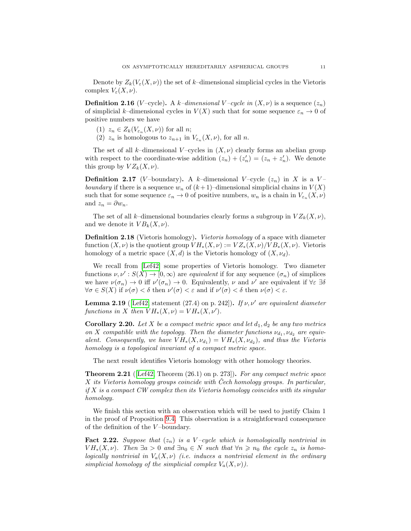Denote by  $Z_k(V_\varepsilon(X,\nu))$  the set of k–dimensional simplicial cycles in the Vietoris complex  $V_{\varepsilon}(X,\nu)$ .

**Definition 2.16** (V-cycle). A k-dimensional V-cycle in  $(X, \nu)$  is a sequence  $(z_n)$ of simplicial k–dimensional cycles in  $V(X)$  such that for some sequence  $\varepsilon_n \to 0$  of positive numbers we have

- (1)  $z_n \in Z_k(V_{\varepsilon_n}(X,\nu))$  for all *n*;
- (2)  $z_n$  is homologous to  $z_{n+1}$  in  $V_{\varepsilon_n}(X,\nu)$ , for all n.

The set of all k–dimensional V–cycles in  $(X, \nu)$  clearly forms an abelian group with respect to the coordinate-wise addition  $(z_n) + (z'_n) = (z_n + z'_n)$ . We denote this group by  $VZ_k(X,\nu)$ .

**Definition 2.17** (V-boundary). A k-dimensional V-cycle  $(z_n)$  in X is a Vboundary if there is a sequence  $w_n$  of  $(k+1)$ –dimensional simplicial chains in  $V(X)$ such that for some sequence  $\varepsilon_n \to 0$  of positive numbers,  $w_n$  is a chain in  $V_{\varepsilon_n}(X,\nu)$ and  $z_n = \partial w_n$ .

The set of all k–dimensional boundaries clearly forms a subgroup in  $VZ_k(X,\nu)$ , and we denote it  $VB_k(X, \nu)$ .

Definition 2.18 (Vietoris homology). Vietoris homology of a space with diameter function  $(X, \nu)$  is the quotient group  $V H_*(X, \nu) := V Z_*(X, \nu) / V B_*(X, \nu)$ . Vietoris homology of a metric space  $(X, d)$  is the Vietoris homology of  $(X, \nu_d)$ .

We recall from [\[Lef42\]](#page-34-14) some properties of Vietoris homology. Two diameter functions  $\nu, \nu': S(X) \to [0, \infty)$  are equivalent if for any sequence  $(\sigma_n)$  of simplices we have  $\nu(\sigma_n) \to 0$  iff  $\nu'(\sigma_n) \to 0$ . Equivalently,  $\nu$  and  $\nu'$  are equivalent if  $\forall \varepsilon \exists \delta$  $\forall \sigma \in S(X)$  if  $\nu(\sigma) < \delta$  then  $\nu'(\sigma) < \varepsilon$  and if  $\nu'(\sigma) < \delta$  then  $\nu(\sigma) < \varepsilon$ .

<span id="page-10-2"></span>**Lemma 2.19** ([\[Lef42,](#page-34-14) statement (27.4) on p. 242]). If  $\nu, \nu'$  are equivalent diameter functions in X then  $VH_*(X,\nu) = VH_*(X,\nu').$ 

**Corollary 2.20.** Let X be a compact metric space and let  $d_1, d_2$  be any two metrics on X compatible with the topology. Then the diameter functions  $\nu_{d_1}, \nu_{d_2}$  are equivalent. Consequently, we have  $VH_*(X, \nu_{d_1}) = VH_*(X, \nu_{d_2})$ , and thus the Vietoris homology is a topological invariant of a compact metric space.

The next result identifies Vietoris homology with other homology theories.

<span id="page-10-0"></span>**Theorem 2.21** ([\[Lef42,](#page-34-14) Theorem  $(26.1)$  on p. 273]). For any compact metric space  $X$  its Vietoris homology groups coincide with Cech homology groups. In particular,  $if X is a compact CW complex then its Vietoris homology coincides with its singular$ homology.

We finish this section with an observation which will be used to justify Claim 1 in the proof of Proposition [9.4.](#page-25-1) This observation is a straightforward consequence of the definition of the  $V$ -boundary.

<span id="page-10-1"></span>**Fact 2.22.** Suppose that  $(z_n)$  is a V-cycle which is homologically nontrivial in  $V H_*(X, \nu)$ . Then  $\exists a > 0$  and  $\exists n_0 \in N$  such that  $\forall n \geq n_0$  the cycle  $z_n$  is homologically nontrivial in  $V_a(X, \nu)$  (i.e. induces a nontrivial element in the ordinary simplicial homology of the simplicial complex  $V_a(X, \nu)$ ).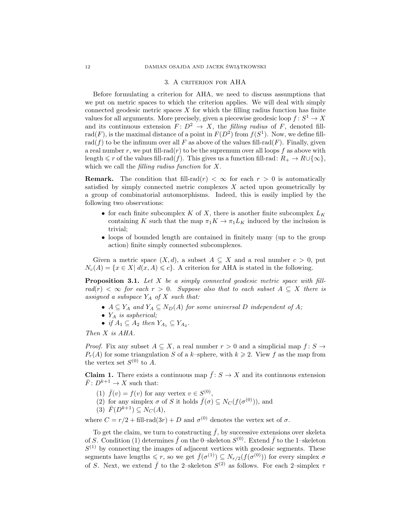#### 3. A criterion for AHA

<span id="page-11-0"></span>Before formulating a criterion for AHA, we need to discuss assumptions that we put on metric spaces to which the criterion applies. We will deal with simply connected geodesic metric spaces  $X$  for which the filling radius function has finite values for all arguments. More precisely, given a piecewise geodesic loop  $f: S^1 \to X$ and its continuous extension  $F: D^2 \to X$ , the filling radius of F, denoted fillrad(F), is the maximal distance of a point in  $F(D^2)$  from  $f(S^1)$ . Now, we define fillrad(f) to be the infimum over all F as above of the values fill-rad(F). Finally, given a real number r, we put fill-rad( $r$ ) to be the supremum over all loops  $f$  as above with length  $\leq r$  of the values fill-rad(f). This gives us a function fill-rad:  $R_+ \to R \cup \{\infty\},$ which we call the filling radius function for X.

**Remark.** The condition that fill-rad $(r) < \infty$  for each  $r > 0$  is automatically satisfied by simply connected metric complexes X acted upon geometrically by a group of combinatorial automorphisms. Indeed, this is easily implied by the following two observations:

- for each finite subcomplex  $K$  of  $X$ , there is another finite subcomplex  $L_K$ containing K such that the map  $\pi_1 K \to \pi_1 L_K$  induced by the inclusion is trivial;
- loops of bounded length are contained in finitely many (up to the group action) finite simply connected subcomplexes.

Given a metric space  $(X, d)$ , a subset  $A \subseteq X$  and a real number  $c > 0$ , put  $N_c(A) = \{x \in X | d(x, A) \leq c\}$ . A criterion for AHA is stated in the following.

<span id="page-11-1"></span>**Proposition 3.1.** Let  $X$  be a simply connected geodesic metric space with fill $rad(r) < \infty$  for each  $r > 0$ . Suppose also that to each subset  $A \subseteq X$  there is assigned a subspace  $Y_A$  of  $X$  such that:

- $A \subseteq Y_A$  and  $Y_A \subseteq N_D(A)$  for some universal D independent of A;
- $Y_A$  is aspherical;
- if  $A_1 \subseteq A_2$  then  $Y_{A_1} \subseteq Y_{A_2}$ .

Then X is AHA.

*Proof.* Fix any subset  $A \subseteq X$ , a real number  $r > 0$  and a simplicial map  $f: S \to Y$  $P_r(A)$  for some triangulation S of a k–sphere, with  $k \geq 2$ . View f as the map from the vertex set  $S^{(0)}$  to A.

**Claim 1.** There exists a continuous map  $\bar{f}: S \to X$  and its continuous extension  $\bar{F}: D^{k+1} \to X$  such that:

- (1)  $\bar{f}(v) = f(v)$  for any vertex  $v \in S^{(0)}$ ,
- (2) for any simplex  $\sigma$  of S it holds  $\bar{f}(\sigma) \subseteq N_C(f(\sigma^{(0)}))$ , and
- (3)  $\overline{F}(D^{k+1}) \subseteq N_C(A),$

where  $C = r/2 + \text{fill-rad}(3r) + D$  and  $\sigma^{(0)}$  denotes the vertex set of  $\sigma$ .

To get the claim, we turn to constructing  $\bar{f}$ , by successive extensions over skeleta of S. Condition (1) determines  $\bar{f}$  on the 0-skeleton  $S^{(0)}$ . Extend  $\bar{f}$  to the 1-skeleton  $S<sup>(1)</sup>$  by connecting the images of adjacent vertices with geodesic segments. These segments have lengths  $\leq r$ , so we get  $\bar{f}(\sigma^{(1)}) \subseteq N_{r/2}(f(\sigma^{(0)}))$  for every simplex  $\sigma$ of S. Next, we extend  $\bar{f}$  to the 2-skeleton  $S^{(2)}$  as follows. For each 2-simplex  $\tau$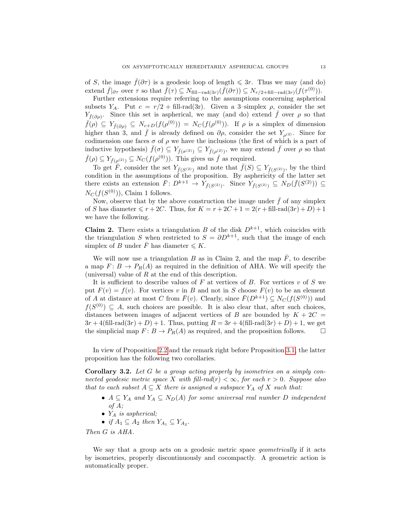of S, the image  $\bar{f}(\partial \tau)$  is a geodesic loop of length  $\leq 3r$ . Thus we may (and do) extend  $\bar{f}|_{\partial \tau}$  over  $\tau$  so that  $\bar{f}(\tau) \subseteq N_{\text{fill-rad}(3r)}(\bar{f}(\partial \tau)) \subseteq N_{r/2+\text{fill-rad}(3r)}(f(\tau^{(0)})).$ 

Further extensions require referring to the assumptions concerning aspherical subsets Y<sub>A</sub>. Put  $c = r/2 + \text{fill-rad}(3r)$ . Given a 3-simplex  $\rho$ , consider the set  $Y_{\bar{f}(\partial \rho)}$ . Since this set is aspherical, we may (and do) extend  $\bar{f}$  over  $\rho$  so that  $\bar{f}(\rho) \subseteq Y_{\bar{f}(\partial \rho)} \subseteq N_{c+D}(f(\rho^{(0)})) = N_C(f(\rho^{(0)}))$ . If  $\rho$  is a simplex of dimension higher than 3, and  $\bar{f}$  is already defined on  $\partial \rho$ , consider the set  $Y_{\rho(2)}$ . Since for codimension one faces  $\sigma$  of  $\rho$  we have the inclusions (the first of which is a part of inductive hypothesis)  $\bar{f}(\sigma) \subseteq Y_{\bar{f}(\sigma^{(2)})} \subseteq Y_{\bar{f}(\rho^{(2)})}$ , we may extend  $\bar{f}$  over  $\rho$  so that  $\bar{f}(\rho) \subseteq Y_{\bar{f}(\rho^{(2)})} \subseteq N_C(f(\rho^{(0)}))$ . This gives us  $\bar{f}$  as required.

To get  $\overline{F}$ , consider the set  $Y_{\overline{f}(S^{(2)})}$  and note that  $\overline{f}(S) \subseteq Y_{\overline{f}(S^{(2)})}$ , by the third condition in the assumptions of the proposition. By asphericity of the latter set there exists an extension  $\bar{F}: D^{k+1} \to Y_{\bar{f}(S^{(2)})}$ . Since  $Y_{\bar{f}(S^{(2)})} \subseteq N_D(\bar{f}(S^{(2)})) \subseteq$  $N_C(f(S^{(0)}))$ , Claim 1 follows.

Now, observe that by the above construction the image under  $\bar{f}$  of any simplex of S has diameter  $\leq r + 2C$ . Thus, for  $K = r + 2C + 1 = 2(r + \text{fill-rad}(3r) + D) + 1$ we have the following.

**Claim 2.** There exists a triangulation B of the disk  $D^{k+1}$ , which coincides with the triangulation S when restricted to  $S = \partial D^{k+1}$ , such that the image of each simplex of B under  $\overline{F}$  has diameter  $\leqslant K$ .

We will now use a triangulation B as in Claim 2, and the map  $\bar{F}$ , to describe a map  $F: B \to P_R(A)$  as required in the definition of AHA. We will specify the (universal) value of  $R$  at the end of this description.

It is sufficient to describe values of F at vertices of B. For vertices  $v$  of S we put  $F(v) = f(v)$ . For vertices v in B and not in S choose  $F(v)$  to be an element of A at distance at most C from  $\bar{F}(v)$ . Clearly, since  $\bar{F}(D^{k+1}) \subseteq N_C(f(S^{(0)}))$  and  $f(S^{(0)}) \subseteq A$ , such choices are possible. It is also clear that, after such choices, distances between images of adjacent vertices of B are bounded by  $K + 2C =$  $3r + 4$ (fill-rad $(3r) + D$ ) + 1. Thus, putting  $R = 3r + 4$ (fill-rad $(3r) + D$ ) + 1, we get the simplicial map  $F: B \to P_R(A)$  as required, and the proposition follows.  $\Box$ 

In view of Proposition [2.2](#page-4-2) and the remark right before Proposition [3.1,](#page-11-1) the latter proposition has the following two corollaries.

<span id="page-12-0"></span>Corollary 3.2. Let G be a group acting properly by isometries on a simply connected geodesic metric space X with fill-rad(r)  $< \infty$ , for each  $r > 0$ . Suppose also that to each subset  $A \subseteq X$  there is assigned a subspace  $Y_A$  of X such that:

- $A \subseteq Y_A$  and  $Y_A \subseteq N_D(A)$  for some universal real number D independent of A;
- $Y_A$  is aspherical;
- if  $A_1 \subseteq A_2$  then  $Y_{A_1} \subseteq Y_{A_2}$ .

Then G is AHA.

We say that a group acts on a geodesic metric space *geometrically* if it acts by isometries, properly discontinuously and cocompactly. A geometric action is automatically proper.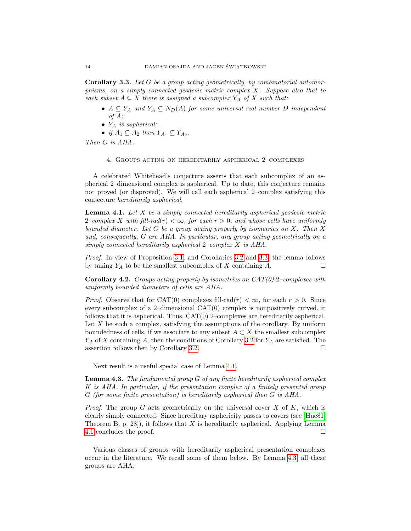<span id="page-13-3"></span>Corollary 3.3. Let G be a group acting geometrically, by combinatorial automorphisms, on a simply connected geodesic metric complex X. Suppose also that to each subset  $A \subseteq X$  there is assigned a subcomplex  $Y_A$  of X such that:

- $A \subseteq Y_A$  and  $Y_A \subseteq N_D(A)$  for some universal real number D independent of A;
- $Y_A$  is aspherical;

• if  $A_1 \subseteq A_2$  then  $Y_{A_1} \subseteq Y_{A_2}$ .

<span id="page-13-0"></span>Then G is AHA.

4. Groups acting on hereditarily aspherical 2–complexes

A celebrated Whitehead's conjecture asserts that each subcomplex of an aspherical 2–dimensional complex is aspherical. Up to date, this conjecture remains not proved (or disproved). We will call each aspherical 2–complex satisfying this conjecture hereditarily aspherical.

<span id="page-13-2"></span>**Lemma 4.1.** Let  $X$  be a simply connected hereditarily aspherical geodesic metric 2–complex X with fill-rad(r)  $< \infty$ , for each  $r > 0$ , and whose cells have uniformly bounded diameter. Let G be a group acting properly by isometries on X. Then X and, consequently, G are AHA. In particular, any group acting geometrically on a simply connected hereditarily aspherical  $2$ –complex X is AHA.

Proof. In view of Proposition [3.1,](#page-11-1) and Corollaries [3.2](#page-12-0) and [3.3,](#page-13-3) the lemma follows by taking  $Y_A$  to be the smallest subcomplex of X containing A.  $\Box$ 

**Corollary 4.2.** Groups acting properly by isometries on  $CAT(0)$  2–complexes with uniformly bounded diameters of cells are AHA.

*Proof.* Observe that for CAT(0) complexes fill-rad( $r$ )  $< \infty$ , for each  $r > 0$ . Since every subcomplex of a 2–dimensional CAT(0) complex is nonpositively curved, it follows that it is aspherical. Thus, CAT(0) 2–complexes are hereditarily aspherical. Let  $X$  be such a complex, satisfying the assumptions of the corollary. By uniform boundedness of cells, if we associate to any subset  $A \subset X$  the smallest subcomplex  $Y_A$  of X containing A, then the conditions of Corollary [3.2](#page-12-0) for  $Y_A$  are satisfied. The assertion follows then by Corollary [3.2.](#page-12-0)

Next result is a useful special case of Lemma [4.1.](#page-13-2)

<span id="page-13-1"></span>**Lemma 4.3.** The fundamental group  $G$  of any finite hereditarily aspherical complex K is AHA. In particular, if the presentation complex of a finitely presented group G (for some finite presentation) is hereditarily aspherical then G is AHA.

*Proof.* The group G acts geometrically on the universal cover  $X$  of  $K$ , which is clearly simply connected. Since hereditary asphericity passes to covers (see [\[Hue81,](#page-34-15) Theorem B, p. 28]), it follows that  $X$  is hereditarily aspherical. Applying Lemma [4.1](#page-13-2) concludes the proof.

Various classes of groups with hereditarily aspherical presentation complexes occur in the literature. We recall some of them below. By Lemma [4.3,](#page-13-1) all these groups are AHA.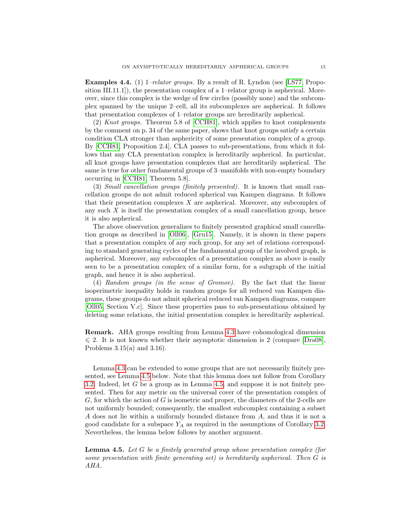<span id="page-14-0"></span>**Examples 4.4.** (1) 1–*relator groups.* By a result of R. Lyndon (see [\[LS77,](#page-34-16) Proposition III.11.1], the presentation complex of a 1-relator group is aspherical. Moreover, since this complex is the wedge of few circles (possibly none) and the subcomplex spanned by the unique 2–cell, all its subcomplexes are aspherical. It follows that presentation complexes of 1–relator groups are hereditarily aspherical.

(2) Knot groups. Theorem 5.8 of [\[CCH81\]](#page-34-17), which applies to knot complements by the comment on p. 34 of the same paper, shows that knot groups satisfy a certain condition CLA stronger than asphericity of some presentation complex of a group. By [\[CCH81,](#page-34-17) Proposition 2.4], CLA passes to sub-presentations, from which it follows that any CLA presentation complex is hereditarily aspherical. In particular, all knot groups have presentation complexes that are hereditarily aspherical. The same is true for other fundamental groups of 3–manifolds with non-empty boundary occurring in [\[CCH81,](#page-34-17) Theorem 5.8].

(3) Small cancellation groups (finitely presented). It is known that small cancellation groups do not admit reduced spherical van Kampen diagrams. It follows that their presentation complexes X are aspherical. Moreover, any subcomplex of any such  $X$  is itself the presentation complex of a small cancellation group, hence it is also aspherical.

The above observation generalizes to finitely presented graphical small cancellation groups as described in [\[Oll06\]](#page-34-18), [\[Gru15\]](#page-34-19). Namely, it is shown in these papers that a presentation complex of any such group, for any set of relations corresponding to standard generating cycles of the fundamental group of the involved graph, is aspherical. Moreover, any subcomplex of a presentation complex as above is easily seen to be a presentation complex of a similar form, for a subgraph of the initial graph, and hence it is also aspherical.

(4) Random groups (in the sense of Gromov). By the fact that the linear isoperimetric inequality holds in random groups for all reduced van Kampen diagrams, these groups do not admit spherical reduced van Kampen diagrams, compare [\[Oll05,](#page-34-20) Section V.c]. Since these properties pass to sub-presentations obtained by deleting some relations, the initial presentation complex is hereditarily aspherical.

Remark. AHA groups resulting from Lemma [4.3](#page-13-1) have cohomological dimension  $\leqslant$  2. It is not known whether their asymptotic dimension is 2 (compare [\[Dra08\]](#page-34-5), Problems  $3.15(a)$  and  $3.16$ ).

Lemma [4.3](#page-13-1) can be extended to some groups that are not necessarily finitely presented, see Lemma [4.5](#page-14-1) below. Note that this lemma does not follow from Corollary [3.2.](#page-12-0) Indeed, let G be a group as in Lemma [4.5,](#page-14-1) and suppose it is not finitely presented. Then for any metric on the universal cover of the presentation complex of  $G$ , for which the action of  $G$  is isometric and proper, the diameters of the 2-cells are not uniformly bounded; consequently, the smallest subcomplex containing a subset A does not lie within a uniformly bounded distance from A, and thus it is not a good candidate for a subspace  $Y_A$  as required in the assumptions of Corollary [3.2.](#page-12-0) Nevertheless, the lemma below follows by another argument.

<span id="page-14-1"></span>**Lemma 4.5.** Let  $G$  be a finitely generated group whose presentation complex (for some presentation with finite generating set) is hereditarily aspherical. Then G is AHA.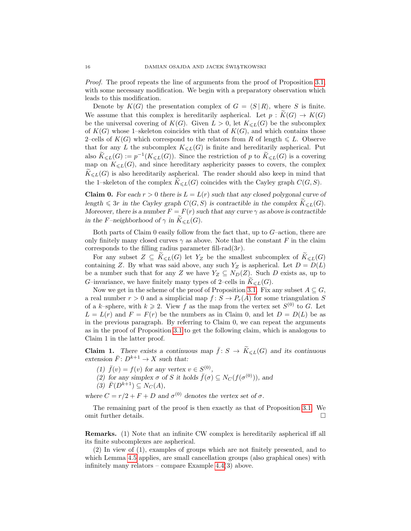Proof. The proof repeats the line of arguments from the proof of Proposition [3.1,](#page-11-1) with some necessary modification. We begin with a preparatory observation which leads to this modification.

Denote by  $K(G)$  the presentation complex of  $G = \langle S | R \rangle$ , where S is finite. We assume that this complex is hereditarily aspherical. Let  $p : K(G) \to K(G)$ be the universal covering of  $K(G)$ . Given  $L > 0$ , let  $K_{\le L}(G)$  be the subcomplex of  $K(G)$  whose 1–skeleton coincides with that of  $K(G)$ , and which contains those 2–cells of  $K(G)$  which correspond to the relators from R of length  $\leq L$ . Observe that for any L the subcomplex  $K_{\leq L}(G)$  is finite and hereditarily aspherical. Put also  $K_{\leq L}(G) := p^{-1}(K_{\leq L}(G))$ . Since the restriction of p to  $K_{\leq L}(G)$  is a covering map on  $K_{\leq L}(G)$ , and since hereditary asphericity passes to covers, the complex  $\widetilde{K}_{\leq L}(G)$  is also hereditarily aspherical. The reader should also keep in mind that the 1–skeleton of the complex  $K_{\leq L}(G)$  coincides with the Cayley graph  $C(G, S)$ .

**Claim 0.** For each  $r > 0$  there is  $L = L(r)$  such that any closed polygonal curve of length  $\leq 3r$  in the Cayley graph  $C(G, S)$  is contractible in the complex  $\widetilde{K}_{\leq L}(G)$ . Moreover, there is a number  $F = F(r)$  such that any curve  $\gamma$  as above is contractible in the F–neighborhood of  $\gamma$  in  $\widetilde{K}_{\leq L}(G)$ .

Both parts of Claim  $0$  easily follow from the fact that, up to  $G$ -action, there are only finitely many closed curves  $\gamma$  as above. Note that the constant F in the claim corresponds to the filling radius parameter fill-rad $(3r)$ .

For any subset  $Z \subseteq K_{\leq L}(G)$  let  $Y_Z$  be the smallest subcomplex of  $\widetilde{K}_{\leq L}(G)$ containing Z. By what was said above, any such  $Y_Z$  is aspherical. Let  $D = D(L)$ be a number such that for any Z we have  $Y_Z \subseteq N_D(Z)$ . Such D exists as, up to G–invariance, we have finitely many types of 2–cells in  $K_{\leq L}(G)$ .

Now we get in the scheme of the proof of Proposition [3.1.](#page-11-1) Fix any subset  $A \subseteq G$ , a real number  $r > 0$  and a simplicial map  $f: S \to P_r(A)$  for some triangulation S of a k–sphere, with  $k \geq 2$ . View f as the map from the vertex set  $S^{(0)}$  to G. Let  $L = L(r)$  and  $F = F(r)$  be the numbers as in Claim 0, and let  $D = D(L)$  be as in the previous paragraph. By referring to Claim 0, we can repeat the arguments as in the proof of Proposition [3.1](#page-11-1) to get the following claim, which is analogous to Claim 1 in the latter proof.

**Claim 1.** There exists a continuous map  $\bar{f}: S \to \widetilde{K}_{\leq L}(G)$  and its continuous extension  $\bar{F}: D^{k+1} \to X$  such that:

- (1)  $\bar{f}(v) = f(v)$  for any vertex  $v \in S^{(0)}$ ,
- (2) for any simplex  $\sigma$  of S it holds  $\bar{f}(\sigma) \subseteq N_C(f(\sigma^{(0)}))$ , and
- $(3)\ \bar{F}(D^{k+1})\subseteq N_C(A),$

where  $C = r/2 + F + D$  and  $\sigma^{(0)}$  denotes the vertex set of  $\sigma$ .

The remaining part of the proof is then exactly as that of Proposition [3.1.](#page-11-1) We omit further details.

Remarks. (1) Note that an infinite CW complex is hereditarily aspherical iff all its finite subcomplexes are aspherical.

(2) In view of (1), examples of groups which are not finitely presented, and to which Lemma [4.5](#page-14-1) applies, are small cancellation groups (also graphical ones) with infinitely many relators – compare Example [4.4\(](#page-14-0)3) above.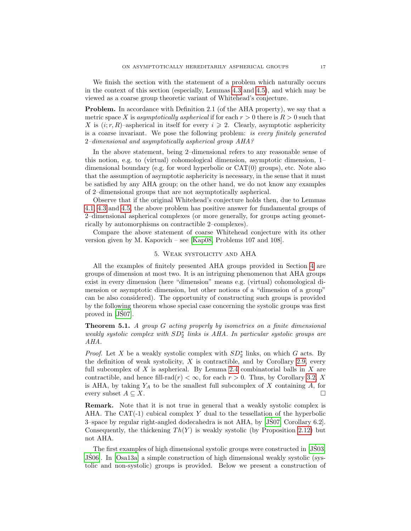We finish the section with the statement of a problem which naturally occurs in the context of this section (especially, Lemmas [4.3](#page-13-1) and [4.5\)](#page-14-1), and which may be viewed as a coarse group theoretic variant of Whitehead's conjecture.

Problem. In accordance with Definition 2.1 (of the AHA property), we say that a metric space X is asymptotically aspherical if for each  $r > 0$  there is  $R > 0$  such that X is  $(i; r, R)$ –aspherical in itself for every  $i \geq 2$ . Clearly, asymptotic asphericity is a coarse invariant. We pose the following problem: is every finitely generated 2–dimensional and asymptotically aspherical group AHA?

In the above statement, being 2–dimensional refers to any reasonable sense of this notion, e.g. to (virtual) cohomological dimension, asymptotic dimension, 1– dimensional boundary (e.g. for word hyperbolic or CAT(0) groups), etc. Note also that the assumption of asymptotic asphericity is necessary, in the sense that it must be satisfied by any AHA group; on the other hand, we do not know any examples of 2–dimensional groups that are not asymptotically aspherical.

Observe that if the original Whitehead's conjecture holds then, due to Lemmas [4.1,](#page-13-2) [4.3](#page-13-1) and [4.5,](#page-14-1) the above problem has positive answer for fundamental groups of 2–dimensional aspherical complexes (or more generally, for groups acting geometrically by automorphisms on contractible 2–complexes).

Compare the above statement of coarse Whitehead conjecture with its other version given by M. Kapovich – see [\[Kap08,](#page-34-21) Problems 107 and 108].

# 5. Weak systolicity and AHA

<span id="page-16-1"></span>All the examples of finitely presented AHA groups provided in Section [4](#page-13-0) are groups of dimension at most two. It is an intriguing phenomenon that AHA groups exist in every dimension (here "dimension" means e.g. (virtual) cohomological dimension or asymptotic dimension, but other notions of a "dimension of a group" can be also considered). The opportunity of constructing such groups is provided by the following theorem whose special case concerning the systolic groups was first proved in [\[JS07\]](#page-34-2).

<span id="page-16-0"></span>Theorem 5.1. A group G acting properly by isometries on a finite dimensional weakly systolic complex with  $SD_2^*$  links is AHA. In particular systolic groups are AHA.

*Proof.* Let X be a weakly systolic complex with  $SD_2^*$  links, on which G acts. By the definition of weak systolicity,  $X$  is contractible, and by Corollary [2.9,](#page-6-3) every full subcomplex of X is aspherical. By Lemma [2.4](#page-5-1) combinatorial balls in X are contractible, and hence fill-rad(r)  $< \infty$ , for each  $r > 0$ . Thus, by Corollary [3.2,](#page-12-0) X is AHA, by taking  $Y_A$  to be the smallest full subcomplex of X containing A, for every subset  $A \subseteq X$ .

Remark. Note that it is not true in general that a weakly systolic complex is AHA. The CAT $(-1)$  cubical complex Y dual to the tessellation of the hyperbolic 3–space by regular right-angled dodecahedra is not AHA, by [\[JS07,](#page-34-2) Corollary 6.2]. ´ Consequently, the thickening  $Th(Y)$  is weakly systolic (by Proposition [2.12\)](#page-8-0) but not AHA.

The first examples of high dimensional systolic groups were constructed in [\[JS03,](#page-34-6) [JS06\]](#page-34-0). In [\[Osa13a\]](#page-35-2) a simple construction of high dimensional weakly systolic (sys- ´ tolic and non-systolic) groups is provided. Below we present a construction of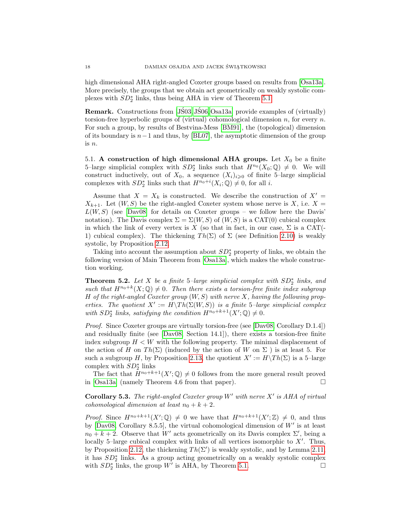high dimensional AHA right-angled Coxeter groups based on results from [\[Osa13a\]](#page-35-2). More precisely, the groups that we obtain act geometrically on weakly systolic complexes with  $SD_2^*$  links, thus being AHA in view of Theorem [5.1.](#page-16-0)

**Remark.** Constructions from  $[J503, J506, Osa13a]$  $[J503, J506, Osa13a]$  provide examples of (virtually) torsion-free hyperbolic groups of (virtual) cohomological dimension n, for every n. For such a group, by results of Bestvina-Mess [\[BM91\]](#page-33-0), the (topological) dimension of its boundary is  $n-1$  and thus, by [\[BL07\]](#page-34-22), the asymptotic dimension of the group is n.

<span id="page-17-0"></span>5.1. A construction of high dimensional AHA groups. Let  $X_0$  be a finite 5-large simplicial complex with  $SD_2^*$  links such that  $H^{n_0}(X_0; \mathbb{Q}) \neq 0$ . We will construct inductively, out of  $X_0$ , a sequence  $(X_i)_{i\geqslant 0}$  of finite 5-large simplicial complexes with  $SD_2^*$  links such that  $H^{n_0+i}(X_i; \mathbb{Q}) \neq 0$ , for all *i*.

Assume that  $X = X_k$  is constructed. We describe the construction of  $X' =$  $X_{k+1}$ . Let  $(W, S)$  be the right-angled Coxeter system whose nerve is X, i.e. X =  $L(W, S)$  (see [\[Dav08\]](#page-34-9) for details on Coxeter groups – we follow here the Davis' notation). The Davis complex  $\Sigma = \Sigma(W, S)$  of  $(W, S)$  is a CAT(0) cubical complex in which the link of every vertex is X (so that in fact, in our case,  $\Sigma$  is a CAT(-1) cubical complex). The thickening  $Th(\Sigma)$  of  $\Sigma$  (see Definition [2.10\)](#page-7-1) is weakly systolic, by Proposition [2.12.](#page-8-0)

Taking into account the assumption about  $SD_2^*$  property of links, we obtain the following version of Main Theorem from [\[Osa13a\]](#page-35-2), which makes the whole construction working.

<span id="page-17-2"></span>Theorem 5.2. Let X be a finite 5-large simplicial complex with  $SD_2^*$  links, and such that  $H^{n_0+k}(X; \mathbb{Q}) \neq 0$ . Then there exists a torsion-free finite index subgroup H of the right-angled Coxeter group  $(W, S)$  with nerve X, having the following properties. The quotient  $X' := H\setminus Th(\Sigma(W, S))$  is a finite 5-large simplicial complex with  $SD_2^*$  links, satisfying the condition  $H^{n_0+k+1}(X';\mathbb{Q})\neq 0$ .

Proof. Since Coxeter groups are virtually torsion-free (see [\[Dav08,](#page-34-9) Corollary D.1.4]) and residually finite (see [\[Dav08,](#page-34-9) Section 14.1]), there exists a torsion-free finite index subgroup  $H \leq W$  with the following property. The minimal displacement of the action of H on Th( $\Sigma$ ) (induced by the action of W on  $\Sigma$ ) is at least 5. For such a subgroup H, by Proposition [2.13,](#page-8-1) the quotient  $X' := H\setminus Th(\Sigma)$  is a 5-large complex with  $SD_2^*$  links

The fact that  $\tilde{H}^{n_0+k+1}(X';\mathbb{Q})\neq 0$  follows from the more general result proved in  $[Osa13a]$  (namely Theorem 4.6 from that paper).

<span id="page-17-1"></span>**Corollary 5.3.** The right-angled Coxeter group  $W'$  with nerve  $X'$  is AHA of virtual cohomological dimension at least  $n_0 + k + 2$ .

*Proof.* Since  $H^{n_0+k+1}(X';\mathbb{Q}) \neq 0$  we have that  $H^{n_0+k+1}(X';\mathbb{Z}) \neq 0$ , and thus by  $[Day08, Corollary 8.5.5],$  the virtual cohomological dimension of  $W'$  is at least  $n_0 + k + 2$ . Observe that W' acts geometrically on its Davis complex  $\Sigma'$ , being a locally 5-large cubical complex with links of all vertices isomorphic to  $X'$ . Thus, by Proposition [2.12,](#page-8-0) the thickening  $Th(\Sigma')$  is weakly systolic, and by Lemma [2.11,](#page-7-0) it has  $SD_2^*$  links. As a group acting geometrically on a weakly systolic complex with  $SD_2^*$  links, the group W' is AHA, by Theorem [5.1.](#page-16-0)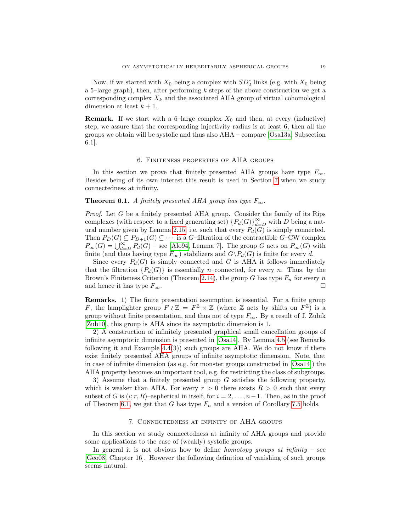Now, if we started with  $X_0$  being a complex with  $SD_2^*$  links (e.g. with  $X_0$  being a 5–large graph), then, after performing  $k$  steps of the above construction we get a corresponding complex  $X_k$  and the associated AHA group of virtual cohomological dimension at least  $k + 1$ .

**Remark.** If we start with a 6-large complex  $X_0$  and then, at every (inductive) step, we assure that the corresponding injectivity radius is at least 6, then all the groups we obtain will be systolic and thus also AHA – compare [\[Osa13a,](#page-35-2) Subsection 6.1].

#### 6. Finiteness properties of AHA groups

<span id="page-18-0"></span>In this section we prove that finitely presented AHA groups have type  $F_{\infty}$ . Besides being of its own interest this result is used in Section [7](#page-18-2) when we study connectedness at infinity.

#### <span id="page-18-1"></span>**Theorem 6.1.** A finitely presented AHA group has type  $F_{\infty}$ .

Proof. Let G be a finitely presented AHA group. Consider the family of its Rips complexes (with respect to a fixed generating set)  ${P_d(G)}_{d=D}^{\infty}$  with D being a nat-ural number given by Lemma [2.15,](#page-9-0) i.e. such that every  $P_d(G)$  is simply connected. Then  $P_D(G) \subseteq P_{D+1}(G) \subseteq \cdots$  is a G-filtration of the contractible G–CW complex  $P_{\infty}(G) = \bigcup_{d=D}^{\infty} P_d(G)$  – see [\[Alo94,](#page-33-1) Lemma 7]. The group G acts on  $P_{\infty}(G)$  with finite (and thus having type  $F_{\infty}$ ) stabilizers and  $G\backslash P_d(G)$  is finite for every d.

Since every  $P_d(G)$  is simply connected and G is AHA it follows immediately that the filtration  ${P_d(G)}$  is essentially n–connected, for every n. Thus, by the Brown's Finiteness Criterion (Theorem [2.14\)](#page-9-1), the group G has type  $F_n$  for every n and hence it has type  $F_{\infty}$ .

Remarks. 1) The finite presentation assumption is essential. For a finite group F, the lamplighter group  $F \wr \mathbb{Z} = F^{\mathbb{Z}} \rtimes \mathbb{Z}$  (where  $\mathbb Z$  acts by shifts on  $F^{\mathbb{Z}}$ ) is a group without finite presentation, and thus not of type  $F_{\infty}$ . By a result of J. Zubik [\[Zub10\]](#page-35-0), this group is AHA since its asymptotic dimension is 1.

2) A construction of infinitely presented graphical small cancellation groups of infinite asymptotic dimension is presented in [\[Osa14\]](#page-35-5). By Lemma [4.5](#page-14-1) (see Remarks following it and Example  $4.4(3)$ ) such groups are AHA. We do not know if there exist finitely presented AHA groups of infinite asymptotic dimension. Note, that in case of infinite dimension (as e.g. for monster groups constructed in [\[Osa14\]](#page-35-5)) the AHA property becomes an important tool, e.g. for restricting the class of subgroups.

3) Assume that a finitely presented group G satisfies the following property, which is weaker than AHA. For every  $r > 0$  there exists  $R > 0$  such that every subset of G is  $(i; r, R)$ –aspherical in itself, for  $i = 2, \ldots, n-1$ . Then, as in the proof of Theorem [6.1,](#page-18-1) we get that G has type  $F_n$  and a version of Corollary [7.5](#page-20-0) holds.

#### 7. Connectedness at infinity of AHA groups

<span id="page-18-2"></span>In this section we study connectedness at infinity of AHA groups and provide some applications to the case of (weakly) systolic groups.

In general it is not obvious how to define *homotopy groups at infinity* – see [\[Geo08,](#page-34-10) Chapter 16]. However the following definition of vanishing of such groups seems natural.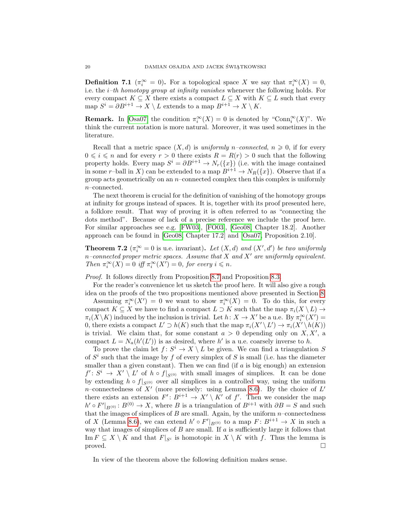<span id="page-19-1"></span>**Definition 7.1** ( $\pi_i^{\infty} = 0$ ). For a topological space X we say that  $\pi_i^{\infty}(X) = 0$ , i.e. the  $i$ -th homotopy group at infinity vanishes whenever the following holds. For every compact  $K \subseteq X$  there exists a compact  $L \subseteq X$  with  $K \subseteq L$  such that every map  $S^i = \partial B^{i+1} \to X \setminus L$  extends to a map  $B^{i+1} \to X \setminus K$ .

**Remark.** In [\[Osa07\]](#page-34-3) the condition  $\pi_i^{\infty}(X) = 0$  is denoted by "Conn<sub>i</sub>" $(X)$ ". We think the current notation is more natural. Moreover, it was used sometimes in the literature.

Recall that a metric space  $(X, d)$  is uniformly n–connected,  $n \geq 0$ , if for every  $0 \leq i \leq n$  and for every  $r > 0$  there exists  $R = R(r) > 0$  such that the following property holds. Every map  $S^i = \partial B^{i+1} \to N_r({x})$  (i.e. with the image contained in some r–ball in X) can be extended to a map  $B^{i+1} \to N_R(\lbrace x \rbrace)$ . Observe that if a group acts geometrically on an n–connected complex then this complex is uniformly n–connected.

The next theorem is crucial for the definition of vanishing of the homotopy groups at infinity for groups instead of spaces. It is, together with its proof presented here, a folklore result. That way of proving it is often referred to as "connecting the dots method". Because of lack of a precise reference we include the proof here. For similar approaches see e.g. [\[FW03\]](#page-34-23), [\[FO03\]](#page-34-12), [\[Geo08,](#page-34-10) Chapter 18.2]. Another approach can be found in [\[Geo08,](#page-34-10) Chapter 17.2] and [\[Osa07,](#page-34-3) Proposition 2.10].

<span id="page-19-0"></span>**Theorem 7.2** ( $\pi_i^{\infty} = 0$  is u.e. invariant). Let  $(X, d)$  and  $(X', d')$  be two uniformly n–connected proper metric spaces. Assume that X and X' are uniformly equivalent. Then  $\pi_i^{\infty}(X) = 0$  iff  $\pi_i^{\infty}(X') = 0$ , for every  $i \leq n$ .

Proof. It follows directly from Proposition [8.7](#page-24-1) and Proposition [8.3.](#page-22-0)

For the reader's convenience let us sketch the proof here. It will also give a rough idea on the proofs of the two propositions mentioned above presented in Section [8.](#page-21-1)

Assuming  $\pi_i^{\infty}(X') = 0$  we want to show  $\pi_i^{\infty}(X) = 0$ . To do this, for every compact  $K \subseteq X$  we have to find a compact  $L \supset K$  such that the map  $\pi_i(X \setminus L) \to$  $\pi_i(X\backslash K)$  induced by the inclusion is trivial. Let  $h: X \to X'$  be a u.e. By  $\pi_i^{\infty}(X') =$ 0, there exists a compact  $L' \supset h(K)$  such that the map  $\pi_i(X' \setminus L') \to \pi_i(X' \setminus h(K))$ is trivial. We claim that, for some constant  $a > 0$  depending only on  $X, X'$ , a compact  $L = N_a(h'(L'))$  is as desired, where h' is a u.e. coarsely inverse to h.

To prove the claim let  $f: S^i \to X \setminus L$  be given. We can find a triangulation S of  $S<sup>i</sup>$  such that the image by f of every simplex of S is small (i.e. has the diameter smaller than a given constant). Then we can find (if  $a$  is big enough) an extension  $f' : S^i \to X' \setminus L'$  of  $h \circ f|_{S^{(0)}}$  with small images of simplices. It can be done by extending  $h \circ f|_{S^{(0)}}$  over all simplices in a controlled way, using the uniform n–connectedness of  $X'$  (more precisely: using Lemma [8.6\)](#page-23-1). By the choice of  $L'$ there exists an extension  $F' : B^{i+1} \to X' \setminus K'$  of f'. Then we consider the map  $h' \circ F'|_{B^{(0)}} : B^{(0)} \to X$ , where B is a triangulation of  $B^{i+1}$  with  $\partial B = S$  and such that the images of simplices of  $B$  are small. Again, by the uniform  $n$ -connectedness of X (Lemma [8.6\)](#page-23-1), we can extend  $h' \circ F'|_{B^{(0)}}$  to a map  $F: B^{i+1} \to X$  in such a way that images of simplices of  $B$  are small. If  $a$  is sufficiently large it follows that Im  $F \subseteq X \setminus K$  and that  $F|_{S^i}$  is homotopic in  $X \setminus K$  with f. Thus the lemma is  $\Box$ 

In view of the theorem above the following definition makes sense.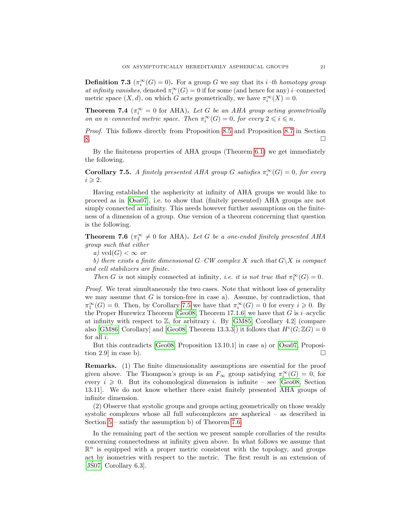<span id="page-20-1"></span>**Definition 7.3**  $(\pi_i^{\infty}(G) = 0)$ . For a group G we say that its *i*-th homotopy group at infinity vanishes, denoted  $\pi_i^{\infty}(G) = 0$  if for some (and hence for any) *i*–connected metric space  $(X, d)$ , on which G acts geometrically, we have  $\pi_i^{\infty}(X) = 0$ .

<span id="page-20-2"></span>**Theorem 7.4** ( $\pi_i^{\infty} = 0$  for AHA). Let G be an AHA group acting geometrically on an n–connected metric space. Then  $\pi_i^{\infty}(G) = 0$ , for every  $2 \leq i \leq n$ .

Proof. This follows directly from Proposition [8.5](#page-23-0) and Proposition [8.7](#page-24-1) in Section  $8.$ 

By the finiteness properties of AHA groups (Theorem [6.1\)](#page-18-1) we get immediately the following.

<span id="page-20-0"></span>**Corollary 7.5.** A finitely presented AHA group G satisfies  $\pi_i^{\infty}(G) = 0$ , for every  $i \geqslant 2$ .

Having established the asphericity at infinity of AHA groups we would like to proceed as in [\[Osa07\]](#page-34-3), i.e. to show that (finitely presented) AHA groups are not simply connected at infinity. This needs however further assumptions on the finiteness of a dimension of a group. One version of a theorem concerning that question is the following.

<span id="page-20-3"></span>**Theorem 7.6** ( $\pi_1^{\infty} \neq 0$  for AHA). Let G be a one-ended finitely presented AHA group such that either

a) vcd $(G) < \infty$  or

b) there exists a finite dimensional  $G-CW$  complex X such that  $G\backslash X$  is compact and cell stabilizers are finite.

Then G is not simply connected at infinity, i.e. it is not true that  $\pi_1^{\infty}(G) = 0$ .

Proof. We treat simultaneously the two cases. Note that without loss of generality we may assume that  $G$  is torsion-free in case a). Assume, by contradiction, that  $\pi_1^{\infty}(G) = 0$ . Then, by Corollary [7.5](#page-20-0) we have that  $\pi_i^{\infty}(G) = 0$  for every  $i \geq 0$ . By the Proper Hurewicz Theorem [\[Geo08,](#page-34-10) Theorem 17.1.6] we have that G is  $i$ –acyclic at infinity with respect to  $\mathbb{Z}$ , for arbitrary *i*. By [\[GM85,](#page-34-24) Corollary 4.2] (compare also [\[GM86,](#page-34-25) Corollary] and [\[Geo08,](#page-34-10) Theorem 13.3.3]) it follows that  $H^{i}(G;\mathbb{Z}G) = 0$ for all i.

But this contradicts [\[Geo08,](#page-34-10) Proposition 13.10.1] in case a) or [\[Osa07,](#page-34-3) Proposition 2.9 in case b).  $\Box$ 

Remarks. (1) The finite dimensionality assumptions are essential for the proof given above. The Thompson's group is an  $F_{\infty}$  group satisfying  $\pi_i^{\infty}(G) = 0$ , for every  $i \geqslant 0$ . But its cohomological dimension is infinite – see [\[Geo08,](#page-34-10) Section 13.11]. We do not know whether there exist finitely presented AHA groups of infinite dimension.

(2) Observe that systolic groups and groups acting geometrically on those weakly systolic complexes whose all full subcomplexes are aspherical – as described in Section [5](#page-16-1) – satisfy the assumption b) of Theorem [7.6.](#page-20-3)

In the remaining part of the section we present sample corollaries of the results concerning connectedness at infinity given above. In what follows we assume that  $\mathbb{R}^n$  is equipped with a proper metric consistent with the topology, and groups act by isometries with respect to the metric. The first result is an extension of  $[JS07, Corollary 6.3].$  $[JS07, Corollary 6.3].$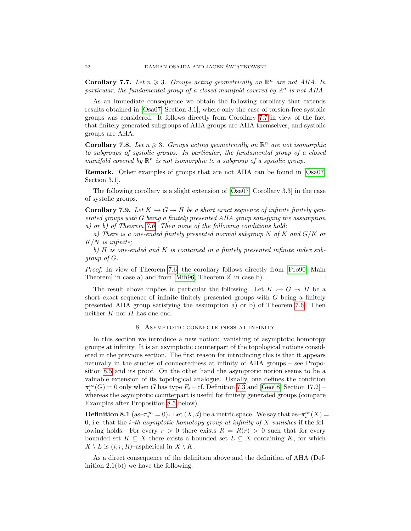<span id="page-21-2"></span>Corollary 7.7. Let  $n \geq 3$ . Groups acting geometrically on  $\mathbb{R}^n$  are not AHA. In particular, the fundamental group of a closed manifold covered by  $\mathbb{R}^n$  is not AHA.

As an immediate consequence we obtain the following corollary that extends results obtained in [\[Osa07,](#page-34-3) Section 3.1], where only the case of torsion-free systolic groups was considered. It follows directly from Corollary [7.7](#page-21-2) in view of the fact that finitely generated subgroups of AHA groups are AHA themselves, and systolic groups are AHA.

<span id="page-21-0"></span>**Corollary 7.8.** Let  $n \geq 3$ . Groups acting geometrically on  $\mathbb{R}^n$  are not isomorphic to subgroups of systolic groups. In particular, the fundamental group of a closed manifold covered by  $\mathbb{R}^n$  is not isomorphic to a subgroup of a systolic group.

Remark. Other examples of groups that are not AHA can be found in [\[Osa07,](#page-34-3) Section 3.1].

The following corollary is a slight extension of [\[Osa07,](#page-34-3) Corollary 3.3] in the case of systolic groups.

**Corollary 7.9.** Let  $K \rightarrowtail G \rightarrow H$  be a short exact sequence of infinite finitely generated groups with G being a finitely presented AHA group satisfying the assumption a) or b) of Theorem [7.6.](#page-20-3) Then none of the following conditions hold:

a) There is a one-ended finitely presented normal subgroup  $N$  of  $K$  and  $G/K$  or  $K/N$  is infinite;

b) H is one-ended and K is contained in a finitely presented infinite index subgroup of G.

Proof. In view of Theorem [7.6,](#page-20-3) the corollary follows directly from [\[Pro90,](#page-35-7) Main Theorem in case a) and from [\[Mih96,](#page-34-26) Theorem 2] in case b).  $\Box$ 

The result above implies in particular the following. Let  $K \rightarrow G \rightarrow H$  be a short exact sequence of infinite finitely presented groups with  $G$  being a finitely presented AHA group satisfying the assumption a) or b) of Theorem [7.6.](#page-20-3) Then neither  $K$  nor  $H$  has one end.

# 8. Asymptotic connectedness at infinity

<span id="page-21-1"></span>In this section we introduce a new notion: vanishing of asymptotic homotopy groups at infinity. It is an asymptotic counterpart of the topological notions considered in the previous section. The first reason for introducing this is that it appears naturally in the studies of connectedness at infinity of AHA groups – see Proposition [8.5](#page-23-0) and its proof. On the other hand the asymptotic notion seems to be a valuable extension of its topological analogue. Usually, one defines the condition  $\pi_i^{\infty}(G) = 0$  only when G has type  $F_i$  – cf. Definition [7.3](#page-20-1) and [\[Geo08,](#page-34-10) Section 17.2] – whereas the asymptotic counterpart is useful for finitely generated groups (compare Examples after Proposition [8.5](#page-23-0) below).

**Definition 8.1** (as– $\pi_i^{\infty} = 0$ ). Let  $(X, d)$  be a metric space. We say that as– $\pi_i^{\infty}(X) =$ 0, i.e. that the *i*–th asymptotic homotopy group at infinity of X vanishes if the following holds. For every  $r > 0$  there exists  $R = R(r) > 0$  such that for every bounded set  $K \subseteq X$  there exists a bounded set  $L \subseteq X$  containing K, for which  $X \setminus L$  is  $(i; r, R)$ –aspherical in  $X \setminus K$ .

As a direct consequence of the definition above and the definition of AHA (Definition  $2.1(b)$  we have the following.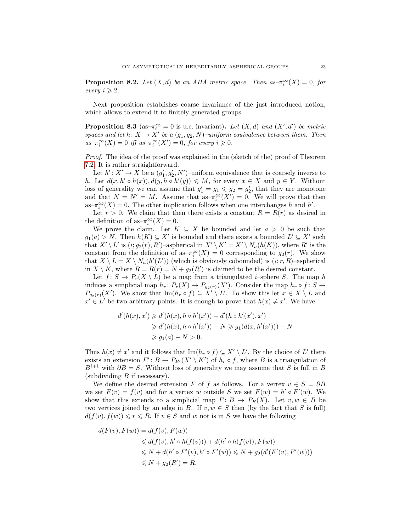<span id="page-22-1"></span>**Proposition 8.2.** Let  $(X,d)$  be an AHA metric space. Then  $as-\pi_i^{\infty}(X)=0$ , for every  $i \geqslant 2$ .

Next proposition establishes coarse invariance of the just introduced notion, which allows to extend it to finitely generated groups.

<span id="page-22-0"></span>**Proposition 8.3** (as- $\pi_i^{\infty} = 0$  is u.e. invariant). Let  $(X, d)$  and  $(X', d')$  be metric spaces and let  $h: X \to X'$  be a  $(g_1, g_2, N)$ -uniform equivalence between them. Then  $as-\pi_i^{\infty}(X)=0$  iff  $as-\pi_i^{\infty}(X')=0$ , for every  $i\geqslant 0$ .

Proof. The idea of the proof was explained in the (sketch of the) proof of Theorem [7.2.](#page-19-0) It is rather straightforward.

Let  $h' : X' \to X$  be a  $(g'_1, g'_2, N')$ -uniform equivalence that is coarsely inverse to h. Let  $d(x, h' \circ h(x)), d(y, h \circ h'(y)) \leq M$ , for every  $x \in X$  and  $y \in Y$ . Without loss of generality we can assume that  $g'_1 = g_1 \leqslant g_2 = g'_2$ , that they are monotone and that  $N = N' = M$ . Assume that as– $\pi_i^{\infty}(X') = 0$ . We will prove that then as– $\pi_i^{\infty}(X) = 0$ . The other implication follows when one interchanges h and h'.

Let  $r > 0$ . We claim that then there exists a constant  $R = R(r)$  as desired in the definition of as $-\pi_i^{\infty}(X) = 0$ .

We prove the claim. Let  $K \subseteq X$  be bounded and let  $a > 0$  be such that  $g_1(a) > N$ . Then  $h(K) \subseteq X'$  is bounded and there exists a bounded  $L' \subseteq X'$  such that  $X' \setminus L'$  is  $(i; g_2(r), R')$ -aspherical in  $X' \setminus K' = X' \setminus N_a(h(K))$ , where R' is the constant from the definition of as– $\pi_i^{\infty}(X) = 0$  corresponding to  $g_2(r)$ . We show that  $X \setminus L = X \setminus N_a(h'(L'))$  (which is obviously cobounded) is  $(i; r, R)$ -aspherical in  $X \setminus K$ , where  $R = R(r) = N + g_2(R')$  is claimed to be the desired constant.

Let  $f: S \to P_r(X \setminus L)$  be a map from a triangulated *i*-sphere S. The map h induces a simplicial map  $h_r: P_r(X) \to P_{g_2(r)}(X')$ . Consider the map  $h_r \circ f: S \to$  $P_{g_2(r)}(X')$ . We show that Im $(h_r \circ f) \subseteq X' \setminus L'$ . To show this let  $x \in X \setminus L$  and  $x' \in L'$  be two arbitrary points. It is enough to prove that  $h(x) \neq x'$ . We have

$$
d'(h(x), x') \ge d'(h(x), h \circ h'(x')) - d'(h \circ h'(x'), x')
$$
  
\n
$$
\ge d'(h(x), h \circ h'(x')) - N \ge g_1(d(x, h'(x'))) - N
$$
  
\n
$$
\ge g_1(a) - N > 0.
$$

Thus  $h(x) \neq x'$  and it follows that  $\text{Im}(h_r \circ f) \subseteq X' \setminus L'$ . By the choice of L' there exists an extension  $F' : B \to P_{R'}(X' \setminus K')$  of  $h_r \circ f$ , where B is a triangulation of  $B^{i+1}$  with  $\partial B = S$ . Without loss of generality we may assume that S is full in B (subdividing  $B$  if necessary).

We define the desired extension F of f as follows. For a vertex  $v \in S = \partial B$ we set  $F(v) = f(v)$  and for a vertex w outside S we set  $F(w) = h' \circ F'(w)$ . We show that this extends to a simplicial map  $F: B \to P_R(X)$ . Let  $v, w \in B$  be two vertices joined by an edge in B. If  $v, w \in S$  then (by the fact that S is full)  $d(f(v), f(w)) \leq r \leq R$ . If  $v \in S$  and w not is in S we have the following

$$
d(F(v), F(w)) = d(f(v), F(w))
$$
  
\n
$$
\leq d(f(v), h' \circ h(f(v))) + d(h' \circ h(f(v)), F(w))
$$
  
\n
$$
\leq N + d(h' \circ F'(v), h' \circ F'(w)) \leq N + g_2(d'(F'(v), F'(w)))
$$
  
\n
$$
\leq N + g_2(R') = R.
$$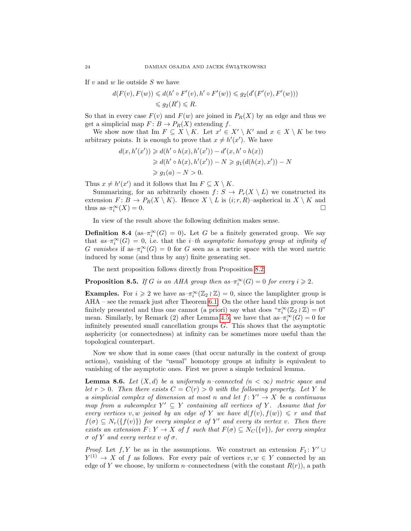If  $v$  and  $w$  lie outside  $S$  we have

$$
d(F(v), F(w)) \le d(h' \circ F'(v), h' \circ F'(w)) \le g_2(d'(F'(v), F'(w)))
$$
  

$$
\le g_2(R') \le R.
$$

So that in every case  $F(v)$  and  $F(w)$  are joined in  $P_R(X)$  by an edge and thus we get a simplicial map  $F: B \to P_R(X)$  extending f.

We show now that Im  $F \subseteq X \setminus K$ . Let  $x' \in X' \setminus K'$  and  $x \in X \setminus K$  be two arbitrary points. It is enough to prove that  $x \neq h'(x')$ . We have

$$
d(x, h'(x')) \ge d(h' \circ h(x), h'(x')) - d'(x, h' \circ h(x))
$$
  
\n
$$
\ge d(h' \circ h(x), h'(x')) - N \ge g_1(d(h(x), x')) - N
$$
  
\n
$$
\ge g_1(a) - N > 0.
$$

Thus  $x \neq h'(x')$  and it follows that Im  $F \subseteq X \setminus K$ .

Summarizing, for an arbitrarily chosen  $f: S \to P_r(X \setminus L)$  we constructed its extension  $F: B \to P_R(X \setminus K)$ . Hence  $X \setminus L$  is  $(i; r, R)$ –aspherical in  $X \setminus K$  and thus as– $\pi_i^{\infty}(X) = 0$ .

In view of the result above the following definition makes sense.

**Definition 8.4** (as- $\pi_i^{\infty}(G) = 0$ ). Let G be a finitely generated group. We say that  $as-\pi_i^{\infty}(G) = 0$ , i.e. that the *i*-th asymptotic homotopy group at infinity of G vanishes if as $-\pi_i^{\infty}(G) = 0$  for G seen as a metric space with the word metric induced by some (and thus by any) finite generating set.

The next proposition follows directly from Proposition [8.2.](#page-22-1)

<span id="page-23-0"></span>**Proposition 8.5.** If G is an AHA group then  $as-\pi_i^{\infty}(G) = 0$  for every  $i \geq 2$ .

**Examples.** For  $i \geq 2$  we have as- $\pi_i^{\infty}(\mathbb{Z}_2 \wr \mathbb{Z}) = 0$ , since the lamplighter group is AHA – see the remark just after Theorem [6.1.](#page-18-1) On the other hand this group is not finitely presented and thus one cannot (a priori) say what does  $\pi_i^{\infty}(\mathbb{Z}_2 \wr \mathbb{Z}) = 0$ " mean. Similarly, by Remark (2) after Lemma [4.5,](#page-14-1) we have that as– $\pi_i^{\infty}(G) = 0$  for infinitely presented small cancellation groups G. This shows that the asymptotic asphericity (or connectedness) at infinity can be sometimes more useful than the topological counterpart.

Now we show that in some cases (that occur naturally in the context of group actions), vanishing of the "usual" homotopy groups at infinity is equivalent to vanishing of the asymptotic ones. First we prove a simple technical lemma.

<span id="page-23-1"></span>**Lemma 8.6.** Let  $(X,d)$  be a uniformly n–connected  $(n < \infty)$  metric space and let  $r > 0$ . Then there exists  $C = C(r) > 0$  with the following property. Let Y be a simplicial complex of dimension at most n and let  $f: Y' \to X$  be a continuous map from a subcomplex  $Y' \subseteq Y$  containing all vertices of Y. Assume that for every vertices v, w joined by an edge of Y we have  $d(f(v), f(w)) \leq r$  and that  $f(\sigma) \subseteq N_r({f(v)})$  for every simplex  $\sigma$  of Y' and every its vertex v. Then there exists an extension  $F: Y \to X$  of f such that  $F(\sigma) \subseteq N_C({v})$ , for every simplex  $\sigma$  of Y and every vertex v of  $\sigma$ .

*Proof.* Let  $f, Y$  be as in the assumptions. We construct an extension  $F_1: Y' \cup$  $Y^{(1)} \to X$  of f as follows. For every pair of vertices  $v, w \in Y$  connected by an edge of Y we choose, by uniform n–connectedness (with the constant  $R(r)$ ), a path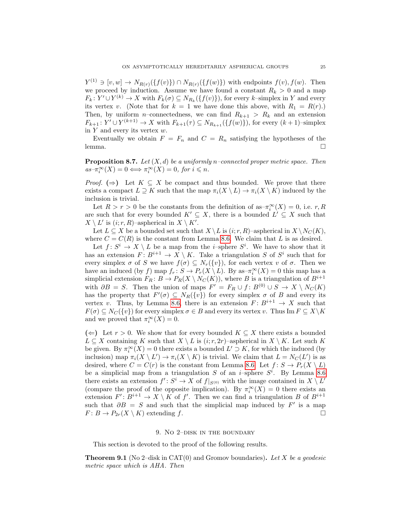$Y^{(1)} \ni [v, w] \to N_{R(r)}(\{f(v)\}) \cap N_{R(r)}(\{f(w)\})$  with endpoints  $f(v), f(w)$ . Then we proceed by induction. Assume we have found a constant  $R_k > 0$  and a map  $F_k: Y' \cup Y^{(k)} \to X$  with  $F_k(\sigma) \subseteq N_{R_k}(\lbrace f(v) \rbrace)$ , for every k-simplex in Y and every its vertex v. (Note that for  $k = 1$  we have done this above, with  $R_1 = R(r)$ .) Then, by uniform *n*–connectedness, we can find  $R_{k+1} > R_k$  and an extension  $F_{k+1}: Y' \cup Y^{(k+1)} \to X$  with  $F_{k+1}(\tau) \subseteq N_{R_{k+1}}(\{f(w)\})$ , for every  $(k+1)$ -simplex in  $Y$  and every its vertex  $w$ .

Eventually we obtain  $F = F_n$  and  $C = R_n$  satisfying the hypotheses of the lemma. □

<span id="page-24-1"></span>**Proposition 8.7.** Let  $(X, d)$  be a uniformly n–connected proper metric space. Then  $as-\pi_i^{\infty}(X)=0 \Longleftrightarrow \pi_i^{\infty}(X)=0, \text{ for } i \leq n.$ 

*Proof.* ( $\Rightarrow$ ) Let  $K \subseteq X$  be compact and thus bounded. We prove that there exists a compact  $L \supseteq K$  such that the map  $\pi_i(X \setminus L) \to \pi_i(X \setminus K)$  induced by the inclusion is trivial.

Let  $R > r > 0$  be the constants from the definition of as– $\pi_i^{\infty}(X) = 0$ , i.e.  $r, R$ are such that for every bounded  $K' \subseteq X$ , there is a bounded  $L' \subseteq X$  such that  $X \setminus L'$  is  $(i; r, R)$ -aspherical in  $X \setminus K'$ .

Let  $L \subseteq X$  be a bounded set such that  $X \setminus L$  is  $(i; r, R)$ –aspherical in  $X \setminus N_C (K)$ , where  $C = C(R)$  is the constant from Lemma [8.6.](#page-23-1) We claim that L is as desired.

Let  $f: S^i \to X \setminus L$  be a map from the *i*-sphere  $S^i$ . We have to show that it has an extension  $F: B^{i+1} \to X \setminus K$ . Take a triangulation S of  $S^i$  such that for every simplex  $\sigma$  of S we have  $f(\sigma) \subseteq N_r({v})$ , for each vertex v of  $\sigma$ . Then we have an induced (by f) map  $f_r: S \to P_r(X \setminus L)$ . By as- $\pi_i^{\infty}(X) = 0$  this map has a simplicial extension  $F_R: B \to P_R(X \setminus N_C(K))$ , where B is a triangulation of  $B^{i+1}$ with  $\partial B = S$ . Then the union of maps  $F' = F_R \cup f : B^{(0)} \cup S \to X \setminus N_C(K)$ has the property that  $F'(\sigma) \subseteq N_R({v})$  for every simplex  $\sigma$  of B and every its vertex v. Thus, by Lemma [8.6,](#page-23-1) there is an extension  $F: B^{i+1} \to X$  such that  $F(\sigma) \subseteq N_C({v})$  for every simplex  $\sigma \in B$  and every its vertex v. Thus Im  $F \subseteq X\backslash K$ and we proved that  $\pi_i^{\infty}(X) = 0$ .

(←) Let  $r > 0$ . We show that for every bounded  $K \subseteq X$  there exists a bounded  $L \subseteq X$  containing K such that  $X \setminus L$  is  $(i; r, 2r)$ –aspherical in  $X \setminus K$ . Let such K be given. By  $\pi_i^{\infty}(X) = 0$  there exists a bounded  $L' \supset K$ , for which the induced (by inclusion) map  $\pi_i(X \setminus L') \to \pi_i(X \setminus K)$  is trivial. We claim that  $L = N_C(L')$  is as desired, where  $C = C(r)$  is the constant from Lemma [8.6.](#page-23-1) Let  $f: S \to P_r(X \setminus L)$ be a simplicial map from a triangulation  $S$  of an *i*-sphere  $S<sup>i</sup>$ . By Lemma [8.6](#page-23-1) there exists an extension  $f' : S^i \to X$  of  $f|_{S^{(0)}}$  with the image contained in  $X \setminus L'$ (compare the proof of the opposite implication). By  $\pi_i^{\infty}(X) = 0$  there exists an extension  $F' : B^{i+1} \to X \setminus K$  of f'. Then we can find a triangulation B of  $B^{i+1}$ such that  $\partial B = S$  and such that the simplicial map induced by  $F'$  is a map  $F: B \to P_{2r}(X \setminus K)$  extending f.

#### 9. No 2-DISK IN THE BOUNDARY

<span id="page-24-2"></span>This section is devoted to the proof of the following results.

<span id="page-24-0"></span>**Theorem 9.1** (No 2–disk in CAT(0) and Gromov boundaries). Let X be a geodesic metric space which is AHA. Then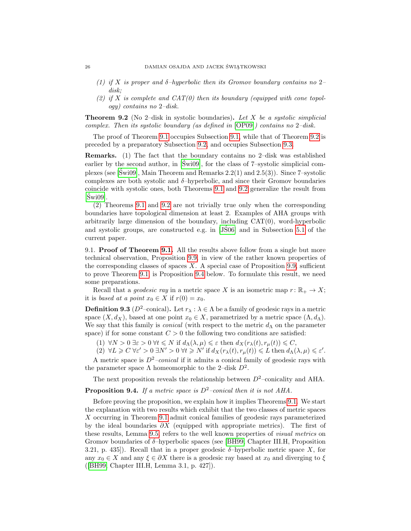- (1) if X is proper and  $\delta$ -hyperbolic then its Gromov boundary contains no 2disk;
- (2) if X is complete and  $CAT(0)$  then its boundary (equipped with cone topology) contains no 2–disk.

<span id="page-25-0"></span>**Theorem 9.2** (No 2-disk in systolic boundaries). Let X be a systolic simplicial complex. Then its systolic boundary (as defined in [\[OP09\]](#page-35-4)) contains no 2–disk.

The proof of Theorem [9.1](#page-24-0) occupies Subsection [9.1,](#page-25-2) while that of Theorem [9.2](#page-25-0) is preceded by a preparatory Subsection [9.2,](#page-30-0) and occupies Subsection [9.3.](#page-31-0)

Remarks. (1) The fact that the boundary contains no 2–disk was established earlier by the second author, in  $\lceil \text{Swi}09 \rceil$ , for the class of 7–systolic simplicial com-plexes (see [\[Swi09\]](#page-35-3), Main Theorem and Remarks  $2.2(1)$  and  $2.5(3)$ ). Since 7–systolic complexes are both systolic and  $\delta$ -hyperbolic, and since their Gromov boundaries coincide with systolic ones, both Theorems [9.1](#page-24-0) and [9.2](#page-25-0) generalize the result from  $[Swi09]$ .

(2) Theorems [9.1](#page-24-0) and [9.2](#page-25-0) are not trivially true only when the corresponding boundaries have topological dimension at least 2. Examples of AHA groups with arbitrarily large dimension of the boundary, including CAT(0), word-hyperbolic and systolic groups, are constructed e.g. in [\[JS06\]](#page-34-0) and in Subsection [5.1](#page-17-0) of the ´ current paper.

<span id="page-25-2"></span>9.1. Proof of Theorem [9.1.](#page-24-0) All the results above follow from a single but more technical observation, Proposition [9.9,](#page-30-1) in view of the rather known properties of the corresponding classes of spaces  $X$ . A special case of Proposition [9.9,](#page-30-1) sufficient to prove Theorem [9.1,](#page-24-0) is Proposition [9.4](#page-25-1) below. To formulate this result, we need some preparations.

Recall that a *geodesic ray* in a metric space X is an isometric map  $r: \mathbb{R}_+ \to X$ ; it is based at a point  $x_0 \in X$  if  $r(0) = x_0$ .

<span id="page-25-3"></span>**Definition 9.3** ( $D^2$ –conical). Let  $r_\lambda : \lambda \in \Lambda$  be a family of geodesic rays in a metric space  $(X, d_X)$ , based at one point  $x_0 \in X$ , parametrized by a metric space  $(\Lambda, d_\Lambda)$ . We say that this family is *conical* (with respect to the metric  $d_{\Lambda}$  on the parameter space) if for some constant  $C > 0$  the following two conditions are satisfied:

(1)  $\forall N > 0 \,\exists \varepsilon > 0 \,\forall t \leq N \text{ if } d_\Lambda(\lambda, \mu) \leq \varepsilon \text{ then } d_X(r_\lambda(t), r_\mu(t)) \leq C,$ 

 $(2) \forall L \geqslant C \forall \varepsilon' > 0 \exists N' > 0 \forall t \geqslant N' \text{ if } d_X(r_\lambda(t), r_\mu(t)) \leqslant L \text{ then } d_\Lambda(\lambda, \mu) \leqslant \varepsilon'.$ 

A metric space is  $D^2$ -conical if it admits a conical family of geodesic rays with the parameter space  $\Lambda$  homeomorphic to the 2-disk  $D^2$ .

The next proposition reveals the relationship between  $D^2$ –conicality and AHA.

# <span id="page-25-1"></span>**Proposition 9.4.** If a metric space is  $D^2$ -conical then it is not AHA.

Before proving the proposition, we explain how it implies Theorems [9.1.](#page-24-0) We start the explanation with two results which exhibit that the two classes of metric spaces X occurring in Theorem [9.1](#page-24-0) admit conical families of geodesic rays parameterized by the ideal boundaries  $\partial X$  (equipped with appropriate metrics). The first of these results, Lemma [9.5,](#page-26-0) refers to the well known properties of visual metrics on Gromov boundaries of  $\delta$ -hyperbolic spaces (see [\[BH99,](#page-33-2) Chapter III.H, Proposition 3.21, p. 435]). Recall that in a proper geodesic  $\delta$ -hyperbolic metric space X, for any  $x_0 \in X$  and any  $\xi \in \partial X$  there is a geodesic ray based at  $x_0$  and diverging to  $\xi$ ([\[BH99,](#page-33-2) Chapter III.H, Lemma 3.1, p. 427]).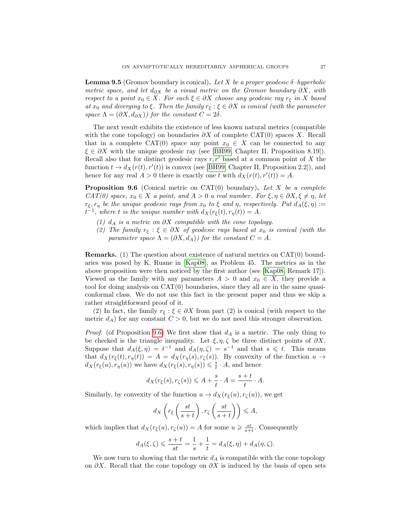<span id="page-26-0"></span>**Lemma 9.5** (Gromov boundary is conical). Let X be a proper geodesic  $\delta$ -hyperbolic metric space, and let  $d_{\partial X}$  be a visual metric on the Gromov boundary  $\partial X$ , with respect to a point  $x_0 \in X$ . For each  $\xi \in \partial X$  choose any geodesic ray  $r_{\xi}$  in X based at  $x_0$  and diverging to  $\xi$ . Then the family  $r_{\xi} : \xi \in \partial X$  is conical (with the parameter space  $\Lambda = (\partial X, d_{\partial X})$  for the constant  $C = 2\delta$ .

The next result exhibits the existence of less known natural metrics (compatible with the cone topology) on boundaries  $\partial X$  of complete CAT(0) spaces X. Recall that in a complete CAT(0) space any point  $x_0 \in X$  can be connected to any  $\xi \in \partial X$  with the unique geodesic ray (see [\[BH99,](#page-33-2) Chapter II, Proposition 8.19]). Recall also that for distinct geodesic rays  $r, r'$  based at a common point of X the function  $t \to d_X(r(t), r'(t))$  is convex (see [\[BH99,](#page-33-2) Chapter II, Proposition 2.2]), and hence for any real  $A > 0$  there is exactly one t with  $d_X(r(t), r'(t)) = A$ .

<span id="page-26-1"></span>**Proposition 9.6** (Conical metric on CAT $(0)$  boundary). Let X be a complete  $CAT(0)$  space,  $x_0 \in X$  a point, and  $A > 0$  a real number. For  $\xi, \eta \in \partial X, \xi \neq \eta$ , let  $r_{\xi}, r_{\eta}$  be the unique geodesic rays from  $x_0$  to  $\xi$  and  $\eta$ , respectively. Put  $d_A(\xi, \eta) :=$  $t^{-1}$ , where t is the unique number with  $d_X(r_{\xi}(t), r_{\eta}(t)) = A$ .

- (1)  $d_A$  is a metric on  $\partial X$  compatible with the cone topology.
- (2) The family  $r_{\xi} : \xi \in \partial X$  of geodesic rays based at  $x_0$  is conical (with the parameter space  $\Lambda = (\partial X, d_A)$  for the constant  $C = A$ .

Remarks. (1) The question about existence of natural metrics on CAT(0) boundaries was posed by K. Ruane in [\[Kap08\]](#page-34-21), as Problem 45. The metrics as in the above proposition were then noticed by the first author (see [\[Kap08,](#page-34-21) Remark 17]). Viewed as the family with any parameters  $A > 0$  and  $x_0 \in X$ , they provide a tool for doing analysis on CAT(0) boundaries, since they all are in the same quasiconformal class. We do not use this fact in the present paper and thus we skip a rather straightforward proof of it.

(2) In fact, the family  $r_{\xi} : \xi \in \partial X$  from part (2) is conical (with respect to the metric  $d_A$ ) for any constant  $C > 0$ , but we do not need this stronger observation.

*Proof.* (of Proposition [9.6\)](#page-26-1) We first show that  $d_A$  is a metric. The only thing to be checked is the triangle inequality. Let  $\xi, \eta, \zeta$  be three distinct points of  $\partial X$ . Suppose that  $d_A(\xi, \eta) = t^{-1}$  and  $d_A(\eta, \zeta) = s^{-1}$  and that  $s \leq t$ . This means that  $d_X(r_{\xi}(t), r_{\eta}(t)) = A = d_X(r_{\eta}(s), r_{\zeta}(s))$ . By convexity of the function  $u \to$  $d_X(r_\xi(u), r_\eta(u))$  we have  $d_X(r_\xi(s), r_\eta(s)) \leq \frac{s}{t} \cdot A$ , and hence

$$
d_X(r_{\xi}(s), r_{\zeta}(s)) \leqslant A + \frac{s}{t} \cdot A = \frac{s+t}{t} \cdot A.
$$

Similarly, by convexity of the function  $u \to d_X(r_\xi(u), r_\zeta(u))$ , we get

$$
d_X\left(r_{\xi}\left(\frac{st}{s+t}\right), r_{\zeta}\left(\frac{st}{s+t}\right)\right) \leqslant A,
$$

which implies that  $d_X(r_\xi(u), r_\zeta(u)) = A$  for some  $u \geqslant \frac{st}{s+t}$ . Consequently

$$
d_A(\xi,\zeta) \leqslant \frac{s+t}{st} = \frac{1}{s} + \frac{1}{t} = d_A(\xi,\eta) + d_A(\eta,\zeta).
$$

We now turn to showing that the metric  $d_A$  is compatible with the cone topology on  $\partial X$ . Recall that the cone topology on  $\partial X$  is induced by the basis of open sets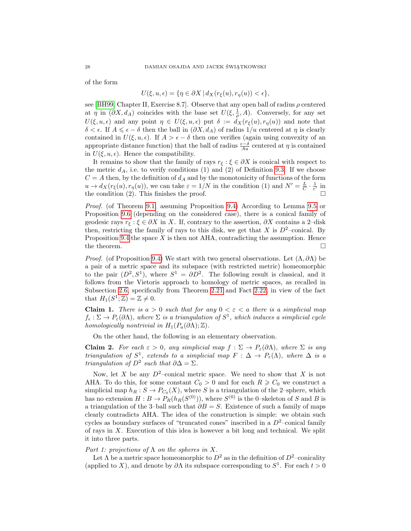of the form

$$
U(\xi, u, \epsilon) = \{ \eta \in \partial X \, | \, d_X(r_{\xi}(u), r_{\eta}(u)) < \epsilon \},
$$

see [\[BH99,](#page-33-2) Chapter II, Exercise 8.7]. Observe that any open ball of radius  $\rho$  centered at  $\eta$  in  $(\partial X, d_A)$  coincides with the base set  $U(\xi, \frac{1}{\rho}, A)$ . Conversely, for any set  $U(\xi, u, \epsilon)$  and any point  $\eta \in U(\xi, u, \epsilon)$  put  $\delta := d_X(r_{\xi}(u), r_{\eta}(u))$  and note that  $δ < ε$ . If  $A ≤ ε - δ$  then the ball in  $(∂X, d<sub>A</sub>)$  of radius  $1/u$  centered at  $η$  is clearly contained in  $U(\xi, u, \epsilon)$ . If  $A > \epsilon - \delta$  then one verifies (again using convexity of an appropriate distance function) that the ball of radius  $\frac{\epsilon-\delta}{Au}$  centered at  $\eta$  is contained in  $U(\xi, u, \epsilon)$ . Hence the compatibility.

It remains to show that the family of rays  $r_{\xi}$ :  $\xi \in \partial X$  is conical with respect to the metric  $d_A$ , i.e. to verify conditions (1) and (2) of Definition [9.3.](#page-25-3) If we choose  $C = A$  then, by the definition of  $d_A$  and by the monotonicity of functions of the form  $u \to d_X(r_\xi(u), r_\eta(u))$ , we can take  $\varepsilon = 1/N$  in the condition (1) and  $N' = \frac{L}{C} \cdot \frac{1}{\varepsilon'}$  in the condition (2). This finishes the proof.  $\square$ 

Proof. (of Theorem [9.1;](#page-24-0) assuming Proposition [9.4\)](#page-25-1) According to Lemma [9.5](#page-26-0) or Proposition [9.6](#page-26-1) (depending on the considered case), there is a conical family of geodesic rays  $r_{\xi} : \xi \in \partial X$  in X. If, contrary to the assertion,  $\partial X$  contains a 2–disk then, restricting the family of rays to this disk, we get that X is  $D^2$ -conical. By Proposition [9.4](#page-25-1) the space  $X$  is then not AHA, contradicting the assumption. Hence the theorem.  $\Box$ 

*Proof.* (of Proposition [9.4\)](#page-25-1) We start with two general observations. Let  $(\Lambda, \partial \Lambda)$  be a pair of a metric space and its subspace (with restricted metric) homeomorphic to the pair  $(D^2, S^1)$ , where  $S^1 = \partial D^2$ . The following result is classical, and it follows from the Vietoris approach to homology of metric spaces, as recalled in Subsection [2.6,](#page-9-2) specifically from Theorem [2.21](#page-10-0) and Fact [2.22,](#page-10-1) in view of the fact that  $H_1(S^1; \mathbb{Z}) = \mathbb{Z} \neq 0$ .

**Claim 1.** There is  $a > 0$  such that for any  $0 < \varepsilon < a$  there is a simplicial map  $f_{\epsilon} : \Sigma \to P_{\epsilon}(\partial \Lambda)$ , where  $\Sigma$  is a triangulation of  $S^1$ , which induces a simplicial cycle homologically nontrivial in  $H_1(P_a(\partial \Lambda);\mathbb{Z})$ .

On the other hand, the following is an elementary observation.

Claim 2. For each  $\varepsilon > 0$ , any simplicial map  $f : \Sigma \to P_{\varepsilon}(\partial \Lambda)$ , where  $\Sigma$  is any triangulation of  $S^1$ , extends to a simplicial map  $F : \Delta \to P_{\varepsilon}(\Lambda)$ , where  $\Delta$  is a triangulation of  $D^2$  such that  $\partial \Delta = \Sigma$ .

Now, let X be any  $D^2$ -conical metric space. We need to show that X is not AHA. To do this, for some constant  $C_0 > 0$  and for each  $R \ge C_0$  we construct a simplicial map  $h_R : S \to P_{C_0}(X)$ , where S is a triangulation of the 2-sphere, which has no extension  $H: B \to P_R(h_R(S^{(0)}))$ , where  $S^{(0)}$  is the 0-skeleton of S and B is a triangulation of the 3–ball such that  $\partial B = S$ . Existence of such a family of maps clearly contradicts AHA. The idea of the construction is simple: we obtain such cycles as boundary surfaces of "truncated cones" inscribed in a  $D^2$ -conical family of rays in  $X$ . Execution of this idea is however a bit long and technical. We split it into three parts.

# Part 1: projections of  $\Lambda$  on the spheres in X.

Let  $\Lambda$  be a metric space homeomorphic to  $D^2$  as in the definition of  $D^2$ –conicality (applied to X), and denote by  $\partial\Lambda$  its subspace corresponding to  $S^1$ . For each  $t > 0$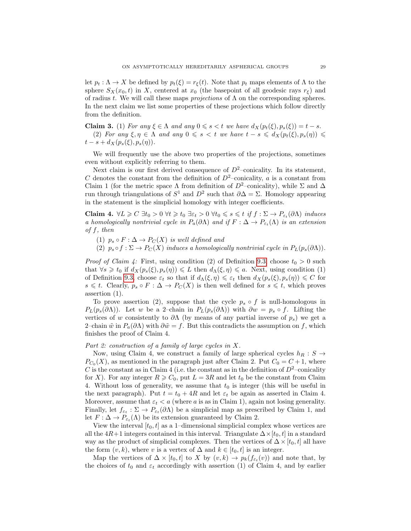let  $p_t : \Lambda \to X$  be defined by  $p_t(\xi) = r_{\xi}(t)$ . Note that  $p_t$  maps elements of  $\Lambda$  to the sphere  $S_X(x_0, t)$  in X, centered at  $x_0$  (the basepoint of all geodesic rays  $r_\xi$ ) and of radius t. We will call these maps *projections* of  $\Lambda$  on the corresponding spheres. In the next claim we list some properties of these projections which follow directly from the definition.

**Claim 3.** (1) For any  $\xi \in \Lambda$  and any  $0 \le s < t$  we have  $d_X(p_t(\xi), p_s(\xi)) = t - s$ . (2) For any  $\xi, \eta \in \Lambda$  and any  $0 \leq s < t$  we have  $t - s \leq d_X(p_t(\xi), p_s(\eta)) \leq$  $t - s + d_X(p_s(\xi), p_s(\eta)).$ 

We will frequently use the above two properties of the projections, sometimes even without explicitly referring to them.

Next claim is our first derived consequence of  $D^2$ –conicality. In its statement, C denotes the constant from the definition of  $D^2$ –conicality, a is a constant from Claim 1 (for the metric space  $\Lambda$  from definition of  $D^2$ –conicality), while  $\Sigma$  and  $\Delta$ run through triangulations of  $S^1$  and  $D^2$  such that  $\partial \Delta = \Sigma$ . Homology appearing in the statement is the simplicial homology with integer coefficients.

**Claim 4.**  $\forall L \geq C \exists t_0 > 0 \ \forall t \geq t_0 \ \exists \varepsilon_t > 0 \ \forall t_0 \leq s \leq t \ \text{if} \ f : \Sigma \to P_{\varepsilon_t}(\partial \Lambda) \ \text{induces}$ a homologically nontrivial cycle in  $P_a(\partial \Lambda)$  and if  $F : \Delta \to P_{\varepsilon_t}(\Lambda)$  is an extension  $of f, then$ 

(1)  $p_s \circ F : \Delta \to P_C(X)$  is well defined and

(2)  $p_s \circ f : \Sigma \to P_C(X)$  induces a homologically nontrivial cycle in  $P_L(p_s(\partial \Lambda))$ .

*Proof of Claim 4:* First, using condition (2) of Definition [9.3,](#page-25-3) choose  $t_0 > 0$  such that  $\forall s \geq t_0$  if  $d_X(p_s(\xi), p_s(\eta)) \leq L$  then  $d_\Lambda(\xi, \eta) \leq a$ . Next, using condition (1) of Definition [9.3,](#page-25-3) choose  $\varepsilon_t$  so that if  $d_{\Lambda}(\xi, \eta) \leq \varepsilon_t$  then  $d_X(p_s(\xi), p_s(\eta)) \leq C$  for  $s \leq t$ . Clearly,  $p_s \circ F : \Delta \to P_C(X)$  is then well defined for  $s \leq t$ , which proves assertion (1).

To prove assertion (2), suppose that the cycle  $p_s \circ f$  is null-homologous in  $P_L(p_s(\partial\Lambda))$ . Let w be a 2–chain in  $P_L(p_s(\partial\Lambda))$  with  $\partial w = p_s \circ f$ . Lifting the vertices of w consistently to  $\partial\Lambda$  (by means of any partial inverse of  $p_s$ ) we get a 2–chain  $\tilde{w}$  in  $P_a(\partial \Lambda)$  with  $\partial \tilde{w} = f$ . But this contradicts the assumption on f, which finishes the proof of Claim 4.

### Part 2: construction of a family of large cycles in X.

Now, using Claim 4, we construct a family of large spherical cycles  $h_R : S \rightarrow$  $P_{C_0}(X)$ , as mentioned in the paragraph just after Claim 2. Put  $C_0 = C + 1$ , where C is the constant as in Claim 4 (i.e. the constant as in the definition of  $D^2$ –conicality for X). For any integer  $R \geq C_0$ , put  $L = 3R$  and let  $t_0$  be the constant from Claim 4. Without loss of generality, we assume that  $t_0$  is integer (this will be useful in the next paragraph). Put  $t = t_0 + 4R$  and let  $\varepsilon_t$  be again as asserted in Claim 4. Moreover, assume that  $\varepsilon_t < a$  (where a is as in Claim 1), again not losing generality. Finally, let  $f_{\varepsilon_t} : \Sigma \to P_{\varepsilon_t}(\partial \Lambda)$  be a simplicial map as prescribed by Claim 1, and let  $F: \Delta \to P_{\varepsilon_t}(\Lambda)$  be its extension guaranteed by Claim 2.

View the interval  $[t_0, t]$  as a 1–dimensional simplicial complex whose vertices are all the  $4R+1$  integers contained in this interval. Triangulate  $\Delta \times [t_0, t]$  in a standard way as the product of simplicial complexes. Then the vertices of  $\Delta \times [t_0, t]$  all have the form  $(v, k)$ , where v is a vertex of  $\Delta$  and  $k \in [t_0, t]$  is an integer.

Map the vertices of  $\Delta \times [t_0, t]$  to X by  $(v, k) \to p_k(f_{\varepsilon_t}(v))$  and note that, by the choices of  $t_0$  and  $\varepsilon_t$  accordingly with assertion (1) of Claim 4, and by earlier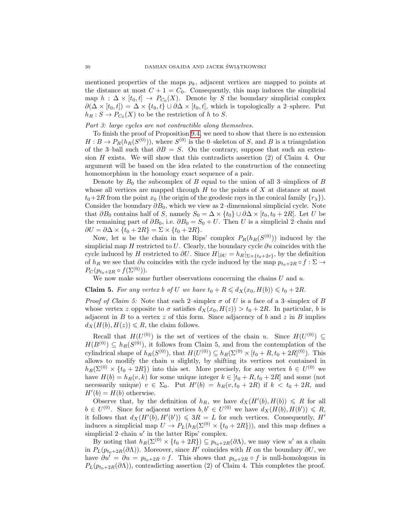mentioned properties of the maps  $p_k$ , adjacent vertices are mapped to points at the distance at most  $C + 1 = C_0$ . Consequently, this map induces the simplicial map  $h: \Delta \times [t_0, t] \rightarrow P_{C_0}(X)$ . Denote by S the boundary simplicial complex  $\partial(\Delta \times [t_0, t]) = \Delta \times \{t_0, t\} \cup \partial \Delta \times [t_0, t]$ , which is topologically a 2-sphere. Put  $h_R: S \to P_{C_0}(X)$  to be the restriction of h to S.

# Part 3: large cycles are not contractible along themselves.

To finish the proof of Proposition [9.4,](#page-25-1) we need to show that there is no extension  $H: B \to P_R(h_R(S^{(0)}))$ , where  $S^{(0)}$  is the 0-skeleton of S, and B is a triangulation of the 3–ball such that  $\partial B = S$ . On the contrary, suppose that such an extension  $H$  exists. We will show that this contradicts assertion  $(2)$  of Claim 4. Our argument will be based on the idea related to the construction of the connecting homomorphism in the homology exact sequence of a pair.

Denote by  $B_0$  the subcomplex of B equal to the union of all 3–simplices of B whose all vertices are mapped through  $H$  to the points of  $X$  at distance at most  $t_0+2R$  from the point  $x_0$  (the origin of the geodesic rays in the conical family  $\{r_\lambda\}$ ). Consider the boundary  $\partial B_0$ , which we view as 2–dimensional simplicial cycle. Note that  $\partial B_0$  contains half of S, namely  $S_0 = \Delta \times \{t_0\} \cup \partial \Delta \times [t_0, t_0 + 2R]$ . Let U be the remaining part of  $\partial B_0$ , i.e.  $\partial B_0 = S_0 + U$ . Then U is a simplicial 2–chain and  $\partial U = \partial \Delta \times \{t_0 + 2R\} = \Sigma \times \{t_0 + 2R\}.$ 

Now, let u be the chain in the Rips' complex  $P_R(h_R(S^{(0)}))$  induced by the simplicial map H restricted to U. Clearly, the boundary cycle  $\partial u$  coincides with the cycle induced by H restricted to  $\partial U$ . Since  $H|_{\partial U} = h_R|_{\Sigma \times \{t_0 + 2r\}}$ , by the definition of  $h_R$  we see that  $\partial u$  coincides with the cycle induced by the map  $p_{t_0+2R} \circ f : \Sigma \to$  $P_C(p_{t_0+2R} \circ f(\Sigma^{(0)})).$ 

We now make some further observations concerning the chains  $U$  and  $u$ .

**Claim 5.** For any vertex b of U we have  $t_0 + R \leq d_X(x_0, H(b)) \leq t_0 + 2R$ .

*Proof of Claim 5:* Note that each 2–simplex  $\sigma$  of U is a face of a 3–simplex of B whose vertex z opposite to  $\sigma$  satisfies  $d_X(x_0, H(z)) > t_0 + 2R$ . In particular, b is adjacent in  $B$  to a vertex  $z$  of this form. Since adjacency of  $b$  and  $z$  in  $B$  implies  $d_X(H(b), H(z)) \le R$ , the claim follows.

Recall that  $H(U^{(0)})$  is the set of vertices of the chain u. Since  $H(U^{(0)}) \subseteq$  $H(B^{(0)}) \subseteq h_R(S^{(0)})$ , it follows from Claim 5, and from the contemplation of the cylindrical shape of  $h_R(S^{(0)})$ , that  $H(U^{(0)}) \subseteq h_R(\Sigma^{(0)} \times [t_0 + R, t_0 + 2R]^{(0)})$ . This allows to modify the chain  $u$  slightly, by shifting its vertices not contained in  $h_R(\Sigma^{(0)} \times \{t_0 + 2R\})$  into this set. More precisely, for any vertex  $b \in U^{(0)}$  we have  $H(b) = h<sub>R</sub>(v, k)$  for some unique integer  $k \in [t_0 + R, t_0 + 2R]$  and some (not necessarily unique)  $v \in \Sigma_0$ . Put  $H'(b) = h_R(v, t_0 + 2R)$  if  $k < t_0 + 2R$ , and  $H'(b) = H(b)$  otherwise.

Observe that, by the definition of  $h_R$ , we have  $d_X(H'(b), H(b)) \le R$  for all  $b \in U^{(0)}$ . Since for adjacent vertices  $b, b' \in U^{(0)}$  we have  $d_X(H(b), H(b')) \leq R$ , it follows that  $d_X(H'(b), H'(b')) \leq 3R = L$  for such vertices. Consequently, H' induces a simplicial map  $U \to P_L(h_R(\Sigma^{(0)} \times \{t_0 + 2R\}))$ , and this map defines a simplicial 2-chain  $u'$  in the latter Rips' complex.

By noting that  $h_R(\Sigma^{(0)} \times \{t_0 + 2R\}) \subseteq p_{t_0+2R}(\partial \Lambda)$ , we may view u' as a chain in  $P_L(p_{t_0+2R}(\partial\Lambda))$ . Moreover, since H' coincides with H on the boundary  $\partial U$ , we have  $\partial u' = \partial u = p_{t_0+2R} \circ f$ . This shows that  $p_{t_0+2R} \circ f$  is null-homologous in  $P_L(p_{t_0+2R}(\partial\Lambda))$ , contradicting assertion (2) of Claim 4. This completes the proof.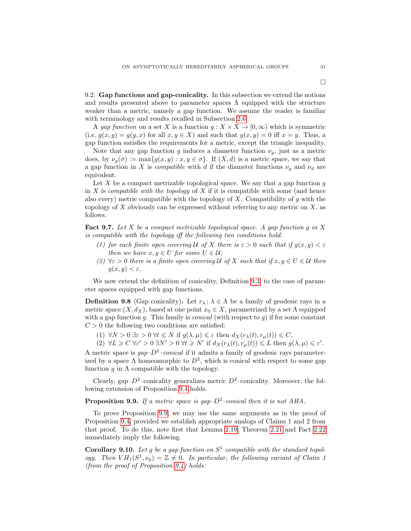<span id="page-30-0"></span>9.2. Gap functions and gap-conicality. In this subsection we extend the notions and results presented above to parameter spaces  $\Lambda$  equipped with the structure weaker than a metric, namely a gap function. We assume the reader is familiar with terminology and results recalled in Subsection [2.6.](#page-9-2)

A gap function on a set X is a function  $g: X \times X \to [0, \infty)$  which is symmetric (i.e.  $g(x, y) = g(y, x)$  for all  $x, y \in X$ ) and such that  $g(x, y) = 0$  iff  $x = y$ . Thus, a gap function satisfies the requirements for a metric, except the triangle inequality.

Note that any gap function g induces a diameter function  $\nu_g$ , just as a metric does, by  $\nu_q(\sigma) := \max\{g(x, y) : x, y \in \sigma\}.$  If  $(X, d)$  is a metric space, we say that a gap function in X is *compatible* with d if the diameter functions  $\nu_q$  and  $\nu_d$  are equivalent.

Let  $X$  be a compact metrizable topological space. We say that a gap function  $g$ in X is *compatible with the topology* of X if it is compatible with some (and hence also every) metric compatible with the topology of  $X$ . Compatibility of  $g$  with the topology of  $X$  obviously can be expressed without referring to any metric on  $X$ , as follows.

<span id="page-30-3"></span>**Fact 9.7.** Let X be a compact metrizable topological space. A gap function g in X is compatible with the topology iff the following two conditions hold:

- (1) for each finite open covering U of X there is  $\varepsilon > 0$  such that if  $g(x, y) < \varepsilon$ then we have  $x, y \in U$  for some  $U \in \mathcal{U}$ ;
- (2)  $\forall \varepsilon > 0$  there is a finite open covering U of X such that if  $x, y \in U \in \mathcal{U}$  then  $g(x, y) < \varepsilon$ .

We now extend the definition of conicality, Definition [9.3,](#page-25-3) to the case of parameter spaces equipped with gap functions.

<span id="page-30-4"></span>**Definition 9.8** (Gap conicality). Let  $r_{\lambda} : \lambda \in \Lambda$  be a family of geodesic rays in a metric space  $(X, d_X)$ , based at one point  $x_0 \in X$ , parametrized by a set  $\Lambda$  equipped with a gap function g. This family is *conical* (with respect to  $g$ ) if for some constant  $C > 0$  the following two conditions are satisfied:

(1)  $\forall N > 0 \exists \varepsilon > 0 \ \forall t \leq N \text{ if } g(\lambda, \mu) \leq \varepsilon \text{ then } d_X(r_\lambda(t), r_\mu(t)) \leq C,$ 

(2)  $\forall L \geqslant C \ \forall \varepsilon' > 0 \ \exists N' > 0 \ \forall t \geqslant N' \ \text{if} \ d_X(r_\lambda(t), r_\mu(t)) \leqslant L \ \text{then} \ g(\lambda, \mu) \leqslant \varepsilon'.$ 

A metric space is  $gap-D^2-conical$  if it admits a family of geodesic rays parameterized by a space  $\Lambda$  homeomorphic to  $D^2$ , which is conical with respect to some gap function  $g$  in  $\Lambda$  compatible with the topology.

Clearly, gap– $D^2$ –conicality generalizes metric  $D^2$ –conicality. Moreover, the following extension of Proposition [9.4](#page-25-1) holds.

<span id="page-30-1"></span>**Proposition 9.9.** If a metric space is gap– $D^2$ –conical then it is not AHA.

To prove Proposition [9.9,](#page-30-1) we may use the same arguments as in the proof of Proposition [9.4,](#page-25-1) provided we establish appropriate analogs of Claims 1 and 2 from that proof. To do this, note first that Lemma [2.19,](#page-10-2) Theorem [2.21](#page-10-0) and Fact [2.22](#page-10-1) immediately imply the following.

<span id="page-30-2"></span>**Corollary 9.10.** Let g be a gap function on  $S^1$  compatible with the standard topology. Then  $VH_1(S^1, \nu_g) = \mathbb{Z} \neq 0$ . In particular, the following variant of Claim 1 (from the proof of Proposition [9.4\)](#page-25-1) holds: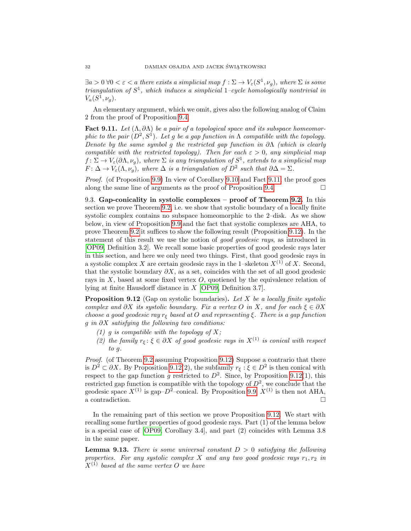$\exists a > 0 \ \forall 0 < \varepsilon < a$  there exists a simplicial map  $f : \Sigma \to V_{\varepsilon}(S^1, \nu_g)$ , where  $\Sigma$  is some triangulation of  $S^1$ , which induces a simplicial 1-cycle homologically nontrivial in  $V_a(S^1,\nu_g).$ 

An elementary argument, which we omit, gives also the following analog of Claim 2 from the proof of Proposition [9.4.](#page-25-1)

<span id="page-31-1"></span>Fact 9.11. Let  $(\Lambda, \partial \Lambda)$  be a pair of a topological space and its subspace homeomorphic to the pair  $(D^2, S^1)$ . Let g be a gap function in  $\Lambda$  compatible with the topology. Denote by the same symbol g the restricted gap function in  $\partial \Lambda$  (which is clearly compatible with the restricted topology). Then for each  $\varepsilon > 0$ , any simplicial map  $f \colon \Sigma \to V_{\varepsilon}(\partial \Lambda, \nu_g)$ , where  $\Sigma$  is any triangulation of  $S^1$ , extends to a simplicial map  $F: \Delta \to V_{\varepsilon}(\Lambda, \nu_g)$ , where  $\Delta$  is a triangulation of  $D^2$  such that  $\partial \Delta = \Sigma$ .

Proof. (of Proposition [9.9\)](#page-30-1) In view of Corollary [9.10](#page-30-2) and Fact [9.11,](#page-31-1) the proof goes along the same line of arguments as the proof of Proposition [9.4.](#page-25-1)  $\Box$ 

<span id="page-31-0"></span>9.3. Gap-conicality in systolic complexes – proof of Theorem [9.2.](#page-25-0) In this section we prove Theorem [9.2,](#page-25-0) i.e. we show that systolic boundary of a locally finite systolic complex contains no subspace homeomorphic to the 2–disk. As we show below, in view of Proposition [9.9](#page-30-1) and the fact that systolic complexes are AHA, to prove Theorem [9.2](#page-25-0) it suffices to show the following result (Proposition [9.12\)](#page-31-2). In the statement of this result we use the notion of good geodesic rays, as introduced in [\[OP09,](#page-35-4) Definition 3.2]. We recall some basic properties of good geodesic rays later in this section, and here we only need two things. First, that good geodesic rays in a systolic complex X are certain geodesic rays in the 1–skeleton  $X^{(1)}$  of X. Second, that the systolic boundary  $\partial X$ , as a set, coincides with the set of all good geodesic rays in  $X$ , based at some fixed vertex  $O$ , quotiened by the equivalence relation of lying at finite Hausdorff distance in X [\[OP09,](#page-35-4) Definition 3.7].

<span id="page-31-2"></span>**Proposition 9.12** (Gap on systolic boundaries). Let X be a locally finite systolic complex and  $\partial X$  its systolic boundary. Fix a vertex O in X, and for each  $\xi \in \partial X$ choose a good geodesic ray  $r_{\xi}$  based at O and representing  $\xi$ . There is a gap function g in  $\partial X$  satisfying the following two conditions:

- (1) g is compatible with the topology of  $X$ ;
- (2) the family  $r_{\xi}$ :  $\xi \in \partial X$  of good geodesic rays in  $X^{(1)}$  is conical with respect to g.

Proof. (of Theorem [9.2](#page-25-0) assuming Proposition [9.12\)](#page-31-2) Suppose a contrario that there is  $D^2 \subset \partial X$ . By Proposition [9.12\(](#page-31-2)2), the subfamily  $r_{\xi} : \xi \in D^2$  is then conical with respect to the gap function g restricted to  $D^2$ . Since, by Proposition [9.12\(](#page-31-2)1), this restricted gap function is compatible with the topology of  $D^2$ , we conclude that the geodesic space  $X^{(1)}$  is gap– $D^2$ –conical. By Proposition [9.9,](#page-30-1)  $X^{(1)}$  is then not AHA, a contradiction.  $\Box$ 

In the remaining part of this section we prove Proposition [9.12.](#page-31-2) We start with recalling some further properties of good geodesic rays. Part (1) of the lemma below is a special case of [\[OP09,](#page-35-4) Corollary 3.4], and part (2) coincides with Lemma 3.8 in the same paper.

<span id="page-31-3"></span>**Lemma 9.13.** There is some universal constant  $D > 0$  satisfying the following properties. For any systolic complex X and any two good geodesic rays  $r_1, r_2$  in  $X^{(1)}$  based at the same vertex O we have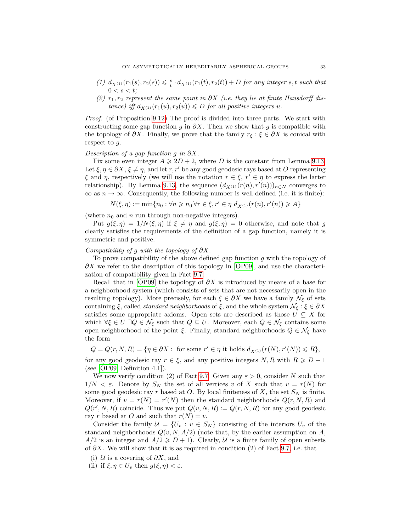- (1)  $d_{X^{(1)}}(r_1(s), r_2(s)) \leq \frac{s}{t} \cdot d_{X^{(1)}}(r_1(t), r_2(t)) + D$  for any integer s, t such that  $0 < s < t$ :
- (2)  $r_1, r_2$  represent the same point in  $\partial X$  (i.e. they lie at finite Hausdorff distance) iff  $d_{X^{(1)}}(r_1(u), r_2(u)) \le D$  for all positive integers u.

Proof. (of Proposition [9.12\)](#page-31-2) The proof is divided into three parts. We start with constructing some gap function g in  $\partial X$ . Then we show that g is compatible with the topology of  $\partial X$ . Finally, we prove that the family  $r_{\xi} : \xi \in \partial X$  is conical with respect to g.

#### Description of a gap function g in  $\partial X$ .

Fix some even integer  $A \ge 2D + 2$ , where D is the constant from Lemma [9.13.](#page-31-3) Let  $\xi, \eta \in \partial X, \xi \neq \eta$ , and let r, r' be any good geodesic rays based at O representing  $\xi$  and  $\eta$ , respectively (we will use the notation  $r \in \xi$ ,  $r' \in \eta$  to express the latter relationship). By Lemma [9.13,](#page-31-3) the sequence  $(d_{X^{(1)}}(r(n), r'(n)))_{n\in N}$  converges to  $\infty$  as  $n \to \infty$ . Consequently, the following number is well defined (i.e. it is finite):

 $N(\xi, \eta) := \min\{n_0 : \forall n \geq n_0 \, \forall r \in \xi, r' \in \eta \, d_{X^{(1)}}(r(n), r'(n)) \geq A\}$ 

(where  $n_0$  and n run through non-negative integers).

Put  $g(\xi, \eta) = 1/N(\xi, \eta)$  if  $\xi \neq \eta$  and  $g(\xi, \eta) = 0$  otherwise, and note that g clearly satisfies the requirements of the definition of a gap function, namely it is symmetric and positive.

# Compatibility of g with the topology of  $\partial X$ .

To prove compatibility of the above defined gap function  $g$  with the topology of  $\partial X$  we refer to the description of this topology in [\[OP09\]](#page-35-4), and use the characterization of compatibility given in Fact [9.7.](#page-30-3)

Recall that in [\[OP09\]](#page-35-4) the topology of  $\partial X$  is introduced by means of a base for a neighborhood system (which consists of sets that are not necessarily open in the resulting topology). More precisely, for each  $\xi \in \partial X$  we have a family  $\mathcal{N}_{\xi}$  of sets containing  $\xi$ , called *standard neighborhoods* of  $\xi$ , and the whole system  $\mathcal{N}_{\xi} : \xi \in \partial X$ satisfies some appropriate axioms. Open sets are described as those  $U \subseteq X$  for which  $\forall \xi \in U \exists Q \in \mathcal{N}_{\xi}$  such that  $Q \subseteq U$ . Moreover, each  $Q \in \mathcal{N}_{\xi}$  contains some open neighborhood of the point  $\xi$ . Finally, standard neighborhoods  $Q \in \mathcal{N}_{\xi}$  have the form

 $Q = Q(r, N, R) = \{ \eta \in \partial X : \text{ for some } r' \in \eta \text{ it holds } d_{X^{(1)}}(r(N), r'(N)) \le R \},$ for any good geodesic ray  $r \in \xi$ , and any positive integers  $N, R$  with  $R \geqslant D + 1$ (see [\[OP09,](#page-35-4) Definition 4.1]).

We now verify condition (2) of Fact [9.7.](#page-30-3) Given any  $\varepsilon > 0$ , consider N such that  $1/N < \varepsilon$ . Denote by  $S_N$  the set of all vertices v of X such that  $v = r(N)$  for some good geodesic ray r based at O. By local finiteness of X, the set  $S_N$  is finite. Moreover, if  $v = r(N) = r'(N)$  then the standard neighborhoods  $Q(r, N, R)$  and  $Q(r', N, R)$  coincide. Thus we put  $Q(v, N, R) := Q(r, N, R)$  for any good geodesic ray r based at O and such that  $r(N) = v$ .

Consider the family  $\mathcal{U} = \{U_v : v \in S_N\}$  consisting of the interiors  $U_v$  of the standard neighborhoods  $Q(v, N, A/2)$  (note that, by the earlier assumption on A,  $A/2$  is an integer and  $A/2 \geq D+1$ ). Clearly, U is a finite family of open subsets of  $\partial X$ . We will show that it is as required in condition (2) of Fact [9.7,](#page-30-3) i.e. that

- (i)  $U$  is a covering of  $\partial X$ , and
- (ii) if  $\xi, \eta \in U_\nu$  then  $g(\xi, \eta) < \varepsilon$ .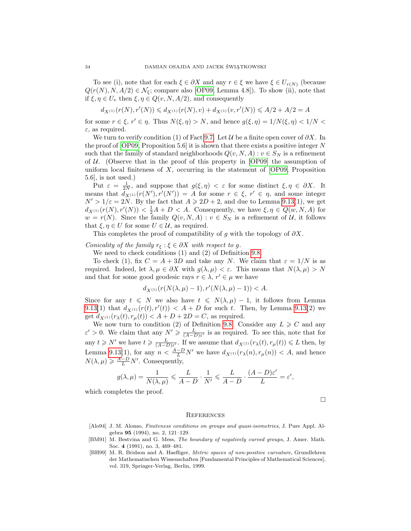To see (i), note that for each  $\xi \in \partial X$  and any  $r \in \xi$  we have  $\xi \in U_{r(N)}$  (because  $Q(r(N), N, A/2) \in \mathcal{N}_{\xi}$ ; compare also [\[OP09,](#page-35-4) Lemma 4.8]). To show (ii), note that if  $\xi, \eta \in U_v$  then  $\xi, \eta \in Q(v, N, A/2)$ , and consequently

$$
d_{X^{(1)}}(r(N),r'(N)) \leq d_{X^{(1)}}(r(N),v) + d_{X^{(1)}}(v,r'(N)) \leq A/2 + A/2 = A
$$

for some  $r \in \xi$ ,  $r' \in \eta$ . Thus  $N(\xi, \eta) > N$ , and hence  $g(\xi, \eta) = 1/N(\xi, \eta) < 1/N <$  $\varepsilon$ , as required.

We turn to verify condition (1) of Fact [9.7.](#page-30-3) Let  $\mathcal U$  be a finite open cover of  $\partial X$ . In the proof of  $[OP09,$  Proposition 5.6 it is shown that there exists a positive integer N such that the family of standard neighborhoods  $Q(v, N, A) : v \in S_N$  is a refinement of  $U$ . (Observe that in the proof of this property in [\[OP09\]](#page-35-4) the assumption of uniform local finiteness of  $X$ , occurring in the statement of [\[OP09,](#page-35-4) Proposition] 5.6], is not used.)

Put  $\varepsilon = \frac{1}{2N}$ , and suppose that  $g(\xi, \eta) < \varepsilon$  for some distinct  $\xi, \eta \in \partial X$ . It means that  $\tilde{d}_{X^{(1)}}(r(N'), r'(N')) = A$  for some  $r \in \xi$ ,  $r' \in \eta$ , and some integer  $N' > 1/\varepsilon = 2N$ . By the fact that  $A \ge 2D + 2$ , and due to Lemma [9.13\(](#page-31-3)1), we get  $d_{X^{(1)}}(r(N), r'(N)) < \frac{1}{2}A + D < A$ . Consequently, we have  $\xi, \eta \in Q(w, N, A)$  for  $w = r(N)$ . Since the family  $Q(v, N, A) : v \in S_N$  is a refinement of U, it follows that  $\xi, \eta \in U$  for some  $U \in \mathcal{U}$ , as required.

This completes the proof of compatibility of g with the topology of  $\partial X$ .

Conicality of the family  $r_{\xi}$ :  $\xi \in \partial X$  with respect to g.

We need to check conditions (1) and (2) of Definition [9.8.](#page-30-4)

To check (1), fix  $C = A + 3D$  and take any N. We claim that  $\varepsilon = 1/N$  is as required. Indeed, let  $\lambda, \mu \in \partial X$  with  $g(\lambda, \mu) < \varepsilon$ . This means that  $N(\lambda, \mu) > N$ and that for some good geodesic rays  $r \in \lambda$ ,  $r' \in \mu$  we have

$$
d_{X^{(1)}}(r(N(\lambda,\mu)-1),r'(N(\lambda,\mu)-1))
$$

Since for any  $t \leq N$  we also have  $t \leq N(\lambda, \mu) - 1$ , it follows from Lemma [9.13\(](#page-31-3)1) that  $d_{X^{(1)}}(r(t), r'(t)) < A + D$  for such t. Then, by Lemma [9.13\(](#page-31-3)2) we get  $d_{X^{(1)}}(r_{\lambda}(t), r_{\mu}(t)) < A + D + 2D = C$ , as required.

We now turn to condition (2) of Definition [9.8.](#page-30-4) Consider any  $L \geq C$  and any  $\varepsilon' > 0$ . We claim that any  $N' \geq \frac{L}{(A-D)\varepsilon'}$  is as required. To see this, note that for any  $t \geq N'$  we have  $t \geq \frac{L}{(A-D)\varepsilon'}$ . If we assume that  $d_{X^{(1)}}(r_{\lambda}(t), r_{\mu}(t)) \leq L$  then, by Lemma [9.13\(](#page-31-3)1), for any  $n < \frac{A-D}{L}N'$  we have  $d_{X^{(1)}}(r_{\lambda}(n), r_{\mu}(n)) < A$ , and hence  $N(\lambda, \mu) \geq \frac{A-D}{L} N'$ . Consequently,

$$
g(\lambda, \mu) = \frac{1}{N(\lambda, \mu)} \leqslant \frac{L}{A - D} \cdot \frac{1}{N'} \leqslant \frac{L}{A - D} \cdot \frac{(A - D)\varepsilon'}{L} = \varepsilon',
$$

which completes the proof.

 $\Box$ 

#### **REFERENCES**

- <span id="page-33-1"></span>[Alo94] J. M. Alonso, Finiteness conditions on groups and quasi-isometries, J. Pure Appl. Algebra 95 (1994), no. 2, 121–129.
- <span id="page-33-0"></span>[BM91] M. Bestvina and G. Mess, The boundary of negatively curved groups, J. Amer. Math. Soc. 4 (1991), no. 3, 469–481.
- <span id="page-33-2"></span>[BH99] M. R. Bridson and A. Haefliger, Metric spaces of non-positive curvature, Grundlehren der Mathematischen Wissenschaften [Fundamental Principles of Mathematical Sciences], vol. 319, Springer-Verlag, Berlin, 1999.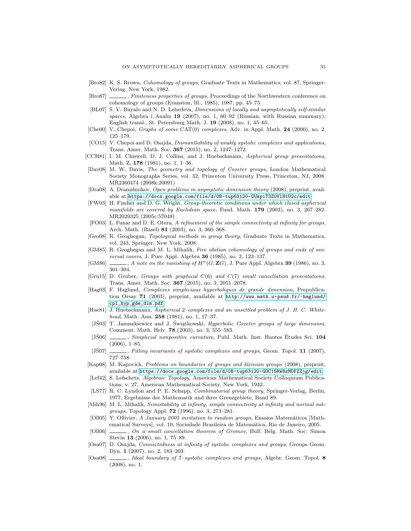- <span id="page-34-13"></span>[Bro82] K. S. Brown, Cohomology of groups, Graduate Texts in Mathematics, vol. 87, Springer-Verlag, New York, 1982.
- <span id="page-34-11"></span>[Bro87] \_\_\_\_\_, Finiteness properties of groups, Proceedings of the Northwestern conference on cohomology of groups (Evanston, Ill., 1985), 1987, pp. 45–75.
- <span id="page-34-22"></span>[BL07] S. V. Buyalo and N. D. Lebedeva, Dimensions of locally and asymptotically self-similar spaces, Algebra i Analiz 19 (2007), no. 1, 60–92 (Russian, with Russian summary); English transl., St. Petersburg Math. J. 19 (2008), no. 1, 45–65.
- <span id="page-34-7"></span>[Che00] V. Chepoi, *Graphs of some* CAT(0) *complexes*, Adv. in Appl. Math. 24 (2000), no. 2, 125–179.
- <span id="page-34-8"></span>[CO15] V. Chepoi and D. Osajda, *Dismantlability of weakly systolic complexes and applications*, Trans. Amer. Math. Soc. 367 (2015), no. 2, 1247–1272.
- <span id="page-34-17"></span>[CCH81] I. M. Chiswell, D. J. Collins, and J. Huebschmann, Aspherical group presentations, Math. Z. 178 (1981), no. 1, 1–36.
- <span id="page-34-9"></span>[Dav08] M. W. Davis, The geometry and topology of Coxeter groups, London Mathematical Society Monographs Series, vol. 32, Princeton University Press, Princeton, NJ, 2008. MR2360474 (2008k:20091)
- <span id="page-34-5"></span>[Dra08] A. Dranishnikov, Open problems in asymptotic dimension theory (2008), preprint, available at <https://docs.google.com/file/d/0B-tup63120-GUkpiT3Z0VlNtU2c/edit>.
- <span id="page-34-23"></span>[FW03] H. Fischer and D. G. Wright, Group-theoretic conditions under which closed aspherical manifolds are covered by Euclidean space, Fund. Math. 179 (2003), no. 3, 267-282. MR2029325 (2005c:57049)
- <span id="page-34-12"></span>[FO03] L. Funar and D. E. Otera, A refinement of the simple connectivity at infinity for groups, Arch. Math. (Basel) 81 (2003), no. 3, 360–368.
- <span id="page-34-10"></span>[Geo08] R. Geoghegan, Topological methods in group theory, Graduate Texts in Mathematics, vol. 243, Springer, New York, 2008.
- <span id="page-34-24"></span>[GM85] R. Geoghegan and M. L. Mihalik, Free abelian cohomology of groups and ends of universal covers, J. Pure Appl. Algebra 36 (1985), no. 2, 123–137.
- <span id="page-34-25"></span>[GM86]  $\ldots$ , A note on the vanishing of  $H^n(G, \mathbf{Z}G)$ , J. Pure Appl. Algebra 39 (1986), no. 3, 301–304.
- <span id="page-34-19"></span>[Gru15] D. Gruber, Groups with graphical C(6) and C(7) small cancellation presentations, Trans. Amer. Math. Soc. 367 (2015), no. 3, 2051–2078.
- <span id="page-34-1"></span>[Hag03] F. Haglund, Complexes simpliciaux hyperboliques de grande dimension, Prepublication Orsay 71 (2003), preprint, available at [http://www.math.u-psud.fr/~haglund/](http://www.math.u-psud.fr/~haglund/cpl_hyp_gde_dim.pdf) [cpl\\_hyp\\_gde\\_dim.pdf](http://www.math.u-psud.fr/~haglund/cpl_hyp_gde_dim.pdf).
- <span id="page-34-15"></span>[Hue81] J. Huebschmann, Aspherical 2–complexes and an unsettled problem of J. H. C. Whitehead, Math. Ann. 258 (1981), no. 1, 17-37.
- <span id="page-34-6"></span>[JS03] T. Januszkiewicz and J. Świątkowski, *Hyperbolic Coxeter groups of large dimension*, Comment. Math. Helv. 78 (2003), no. 3, 555–583.
- <span id="page-34-0"></span>[JS06]  $\_\_\_\_\$  Simplicial nonpositive curvature, Publ. Math. Inst. Hautes Études Sci. 104 (2006), 1–85.
- <span id="page-34-2"></span>[JŚ07]  $\_\_\_\_\,,$  Filling invariants of systolic complexes and groups, Geom. Topol. 11 (2007), 727–758.
- <span id="page-34-21"></span>[Kap08] M. Kapovich, Problems on boundaries of groups and kleinian groups (2008), preprint, available at <https://docs.google.com/file/d/0B-tup63120-GOC15RW8zMDFZZjg/edit>.
- <span id="page-34-14"></span>[Lef42] S. Lefschetz, Algebraic Topology, American Mathematical Society Colloquium Publications, v. 27, American Mathematical Society, New York, 1942.
- <span id="page-34-16"></span>[LS77] R. C. Lyndon and P. E. Schupp, Combinatorial group theory, Springer-Verlag, Berlin, 1977. Ergebnisse der Mathematik und ihrer Grenzgebiete, Band 89.
- <span id="page-34-26"></span>[Mih96] M. L. Mihalik, Semistability at infinity, simple connectivity at infinity and normal subgroups, Topology Appl. 72 (1996), no. 3, 273–281.
- <span id="page-34-20"></span>[Oll05] Y. Ollivier, A January 2005 invitation to random groups, Ensaios Matemáticos [Mathematical Surveys], vol. 10, Sociedade Brasileira de Matemática, Rio de Janeiro, 2005.
- <span id="page-34-18"></span>[Oll06]  $\ldots$ , On a small cancellation theorem of Gromov, Bull. Belg. Math. Soc. Simon Stevin 13 (2006), no. 1, 75–89.
- <span id="page-34-3"></span>[Osa07] D. Osajda, Connectedness at infinity of systolic complexes and groups, Groups Geom. Dyn. 1 (2007), no. 2, 183–203.
- <span id="page-34-4"></span>[Osa08]  $\qquad \qquad$ , Ideal boundary of 7-systolic complexes and groups, Algebr. Geom. Topol. 8 (2008), no. 1.